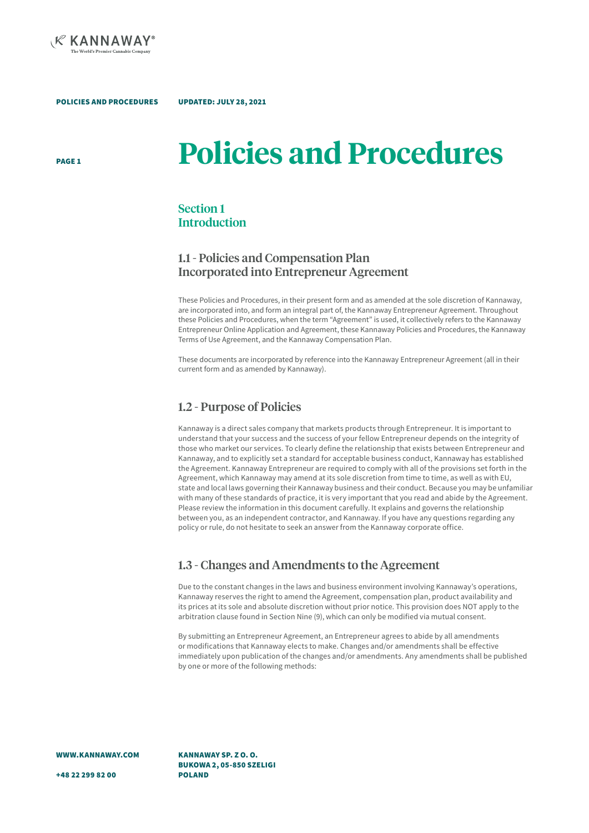

PAGE 1

# **Policies and Procedures**

## Section 1 **Introduction**

UPDATED: JULY 28, 2021

### 1.1 - Policies and Compensation Plan Incorporated into Entrepreneur Agreement

These Policies and Procedures, in their present form and as amended at the sole discretion of Kannaway, are incorporated into, and form an integral part of, the Kannaway Entrepreneur Agreement. Throughout these Policies and Procedures, when the term "Agreement" is used, it collectively refers to the Kannaway Entrepreneur Online Application and Agreement, these Kannaway Policies and Procedures, the Kannaway Terms of Use Agreement, and the Kannaway Compensation Plan.

These documents are incorporated by reference into the Kannaway Entrepreneur Agreement (all in their current form and as amended by Kannaway).

## 1.2 - Purpose of Policies

Kannaway is a direct sales company that markets products through Entrepreneur. It is important to understand that your success and the success of your fellow Entrepreneur depends on the integrity of those who market our services. To clearly define the relationship that exists between Entrepreneur and Kannaway, and to explicitly set a standard for acceptable business conduct, Kannaway has established the Agreement. Kannaway Entrepreneur are required to comply with all of the provisions set forth in the Agreement, which Kannaway may amend at its sole discretion from time to time, as well as with EU, state and local laws governing their Kannaway business and their conduct. Because you may be unfamiliar with many of these standards of practice, it is very important that you read and abide by the Agreement. Please review the information in this document carefully. It explains and governs the relationship between you, as an independent contractor, and Kannaway. If you have any questions regarding any policy or rule, do not hesitate to seek an answer from the Kannaway corporate office.

## 1.3 - Changes and Amendments to the Agreement

Due to the constant changes in the laws and business environment involving Kannaway's operations, Kannaway reserves the right to amend the Agreement, compensation plan, product availability and its prices at its sole and absolute discretion without prior notice. This provision does NOT apply to the arbitration clause found in Section Nine (9), which can only be modified via mutual consent.

By submitting an Entrepreneur Agreement, an Entrepreneur agrees to abide by all amendments or modifications that Kannaway elects to make. Changes and/or amendments shall be effective immediately upon publication of the changes and/or amendments. Any amendments shall be published by one or more of the following methods:

WWW.KANNAWAY.COM

KANNAWAY SP. Z O. O. BUKOWA 2, 05-850 SZELIGI POLAND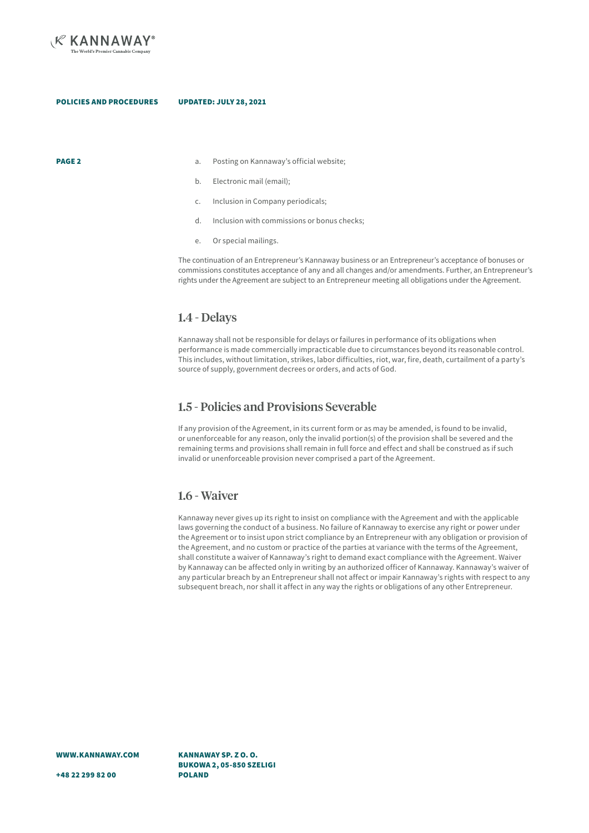

- **PAGE 2 a.** Posting on Kannaway's official website:
	- b. Electronic mail (email);
	- c. Inclusion in Company periodicals;
	- d. Inclusion with commissions or bonus checks;
	- e. Or special mailings.

The continuation of an Entrepreneur's Kannaway business or an Entrepreneur's acceptance of bonuses or commissions constitutes acceptance of any and all changes and/or amendments. Further, an Entrepreneur's rights under the Agreement are subject to an Entrepreneur meeting all obligations under the Agreement.

### 1.4 - Delays

Kannaway shall not be responsible for delays or failures in performance of its obligations when performance is made commercially impracticable due to circumstances beyond its reasonable control. This includes, without limitation, strikes, labor difficulties, riot, war, fire, death, curtailment of a party's source of supply, government decrees or orders, and acts of God.

## 1.5 - Policies and Provisions Severable

If any provision of the Agreement, in its current form or as may be amended, is found to be invalid, or unenforceable for any reason, only the invalid portion(s) of the provision shall be severed and the remaining terms and provisions shall remain in full force and effect and shall be construed as if such invalid or unenforceable provision never comprised a part of the Agreement.

## 1.6 - Waiver

Kannaway never gives up its right to insist on compliance with the Agreement and with the applicable laws governing the conduct of a business. No failure of Kannaway to exercise any right or power under the Agreement or to insist upon strict compliance by an Entrepreneur with any obligation or provision of the Agreement, and no custom or practice of the parties at variance with the terms of the Agreement, shall constitute a waiver of Kannaway's right to demand exact compliance with the Agreement. Waiver by Kannaway can be affected only in writing by an authorized officer of Kannaway. Kannaway's waiver of any particular breach by an Entrepreneur shall not affect or impair Kannaway's rights with respect to any subsequent breach, nor shall it affect in any way the rights or obligations of any other Entrepreneur.

WWW.KANNAWAY.COM

+48 22 299 82 00

KANNAWAY SP. Z O. O. BUKOWA 2, 05-850 SZELIGI POLAND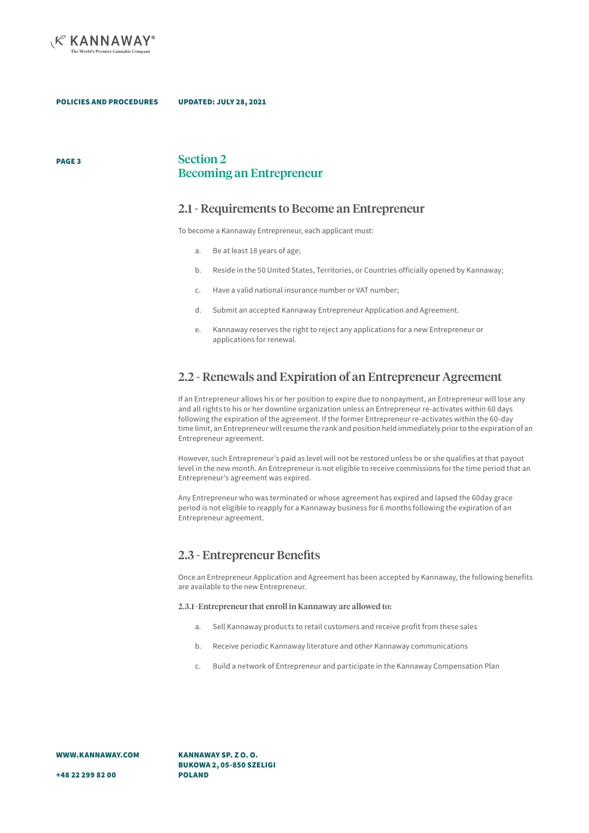

PAGE 3

POLICIES AND PROCEDURES UPDATED: JULY 28, 2021

### Section 2 Becoming an Entrepreneur

### 2.1 - Requirements to Become an Entrepreneur

To become a Kannaway Entrepreneur, each applicant must:

- a. Be at least 18 years of age;
- b. Reside in the 50 United States, Territories, or Countries officially opened by Kannaway;
- c. Have a valid national insurance number or VAT number;
- d. Submit an accepted Kannaway Entrepreneur Application and Agreement.
- e. Kannaway reserves the right to reject any applications for a new Entrepreneur or applications for renewal.

## 2.2 - Renewals and Expiration of an Entrepreneur Agreement

If an Entrepreneur allows his or her position to expire due to nonpayment, an Entrepreneur will lose any and all rights to his or her downline organization unless an Entrepreneur re-activates within 60 days following the expiration of the agreement. If the former Entrepreneur re-activates within the 60-day time limit, an Entrepreneur will resume the rank and position held immediately prior to the expiration of an Entrepreneur agreement.

However, such Entrepreneur's paid as level will not be restored unless he or she qualifies at that payout level in the new month. An Entrepreneur is not eligible to receive commissions for the time period that an Entrepreneur's agreement was expired.

Any Entrepreneur who was terminated or whose agreement has expired and lapsed the 60day grace period is not eligible to reapply for a Kannaway business for 6 months following the expiration of an Entrepreneur agreement.

## 2.3 - Entrepreneur Benefits

Once an Entrepreneur Application and Agreement has been accepted by Kannaway, the following benefits are available to the new Entrepreneur.

2.3.1 -Entrepreneur that enroll in Kannaway are allowed to:

- a. Sell Kannaway products to retail customers and receive profit from these sales
- b. Receive periodic Kannaway literature and other Kannaway communications
- c. Build a network of Entrepreneur and participate in the Kannaway Compensation Plan

WWW.KANNAWAY.COM

KANNAWAY SP. Z O. O. BUKOWA 2, 05-850 SZELIGI POLAND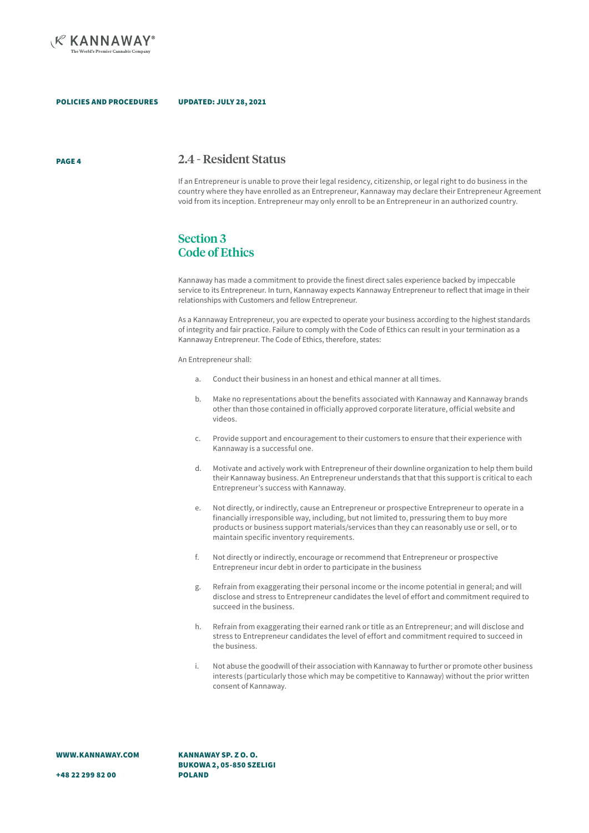

PAGE 4

### 2.4 - Resident Status

If an Entrepreneur is unable to prove their legal residency, citizenship, or legal right to do business in the country where they have enrolled as an Entrepreneur, Kannaway may declare their Entrepreneur Agreement void from its inception. Entrepreneur may only enroll to be an Entrepreneur in an authorized country.

## Section 3 Code of Ethics

Kannaway has made a commitment to provide the finest direct sales experience backed by impeccable service to its Entrepreneur. In turn, Kannaway expects Kannaway Entrepreneur to reflect that image in their relationships with Customers and fellow Entrepreneur.

As a Kannaway Entrepreneur, you are expected to operate your business according to the highest standards of integrity and fair practice. Failure to comply with the Code of Ethics can result in your termination as a Kannaway Entrepreneur. The Code of Ethics, therefore, states:

An Entrepreneur shall:

- a. Conduct their business in an honest and ethical manner at all times.
- b. Make no representations about the benefits associated with Kannaway and Kannaway brands other than those contained in officially approved corporate literature, official website and videos.
- c. Provide support and encouragement to their customers to ensure that their experience with Kannaway is a successful one.
- d. Motivate and actively work with Entrepreneur of their downline organization to help them build their Kannaway business. An Entrepreneur understands that that this support is critical to each Entrepreneur's success with Kannaway.
- e. Not directly, or indirectly, cause an Entrepreneur or prospective Entrepreneur to operate in a financially irresponsible way, including, but not limited to, pressuring them to buy more products or business support materials/services than they can reasonably use or sell, or to maintain specific inventory requirements.
- f. Not directly or indirectly, encourage or recommend that Entrepreneur or prospective Entrepreneur incur debt in order to participate in the business
- g. Refrain from exaggerating their personal income or the income potential in general; and will disclose and stress to Entrepreneur candidates the level of effort and commitment required to succeed in the business.
- h. Refrain from exaggerating their earned rank or title as an Entrepreneur; and will disclose and stress to Entrepreneur candidates the level of effort and commitment required to succeed in the business.
- i. Not abuse the goodwill of their association with Kannaway to further or promote other business interests (particularly those which may be competitive to Kannaway) without the prior written consent of Kannaway.

WWW.KANNAWAY.COM

KANNAWAY SP. Z O. O. BUKOWA 2, 05-850 SZELIGI POLAND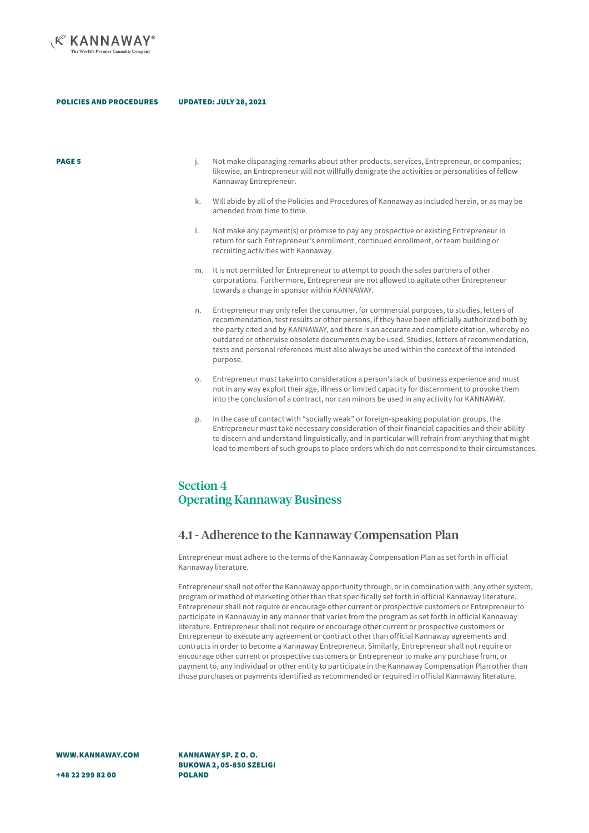

- **PAGE 5** examples i. Not make disparaging remarks about other products, services, Entrepreneur, or companies; likewise, an Entrepreneur will not willfully denigrate the activities or personalities of fellow Kannaway Entrepreneur.
	- k. Will abide by all of the Policies and Procedures of Kannaway as included herein, or as may be amended from time to time.
	- l. Not make any payment(s) or promise to pay any prospective or existing Entrepreneur in return for such Entrepreneur's enrollment, continued enrollment, or team building or recruiting activities with Kannaway.
	- m. It is not permitted for Entrepreneur to attempt to poach the sales partners of other corporations. Furthermore, Entrepreneur are not allowed to agitate other Entrepreneur towards a change in sponsor within KANNAWAY.
	- n. Entrepreneur may only refer the consumer, for commercial purposes, to studies, letters of recommendation, test results or other persons, if they have been officially authorized both by the party cited and by KANNAWAY, and there is an accurate and complete citation, whereby no outdated or otherwise obsolete documents may be used. Studies, letters of recommendation, tests and personal references must also always be used within the context of the intended purpose.
	- o. Entrepreneur must take into consideration a person's lack of business experience and must not in any way exploit their age, illness or limited capacity for discernment to provoke them into the conclusion of a contract, nor can minors be used in any activity for KANNAWAY.
	- In the case of contact with "socially weak" or foreign-speaking population groups, the Entrepreneur must take necessary consideration of their financial capacities and their ability to discern and understand linguistically, and in particular will refrain from anything that might lead to members of such groups to place orders which do not correspond to their circumstances.

## Section 4 Operating Kannaway Business

### 4.1 - Adherence to the Kannaway Compensation Plan

Entrepreneur must adhere to the terms of the Kannaway Compensation Plan as set forth in official Kannaway literature.

Entrepreneur shall not offer the Kannaway opportunity through, or in combination with, any other system, program or method of marketing other than that specifically set forth in official Kannaway literature. Entrepreneur shall not require or encourage other current or prospective customers or Entrepreneur to participate in Kannaway in any manner that varies from the program as set forth in official Kannaway literature. Entrepreneur shall not require or encourage other current or prospective customers or Entrepreneur to execute any agreement or contract other than official Kannaway agreements and contracts in order to become a Kannaway Entrepreneur. Similarly, Entrepreneur shall not require or encourage other current or prospective customers or Entrepreneur to make any purchase from, or payment to, any individual or other entity to participate in the Kannaway Compensation Plan other than those purchases or payments identified as recommended or required in official Kannaway literature.

WWW.KANNAWAY.COM

BUKOWA 2, 05-850 SZELIGI POLAND

KANNAWAY SP. Z O. O.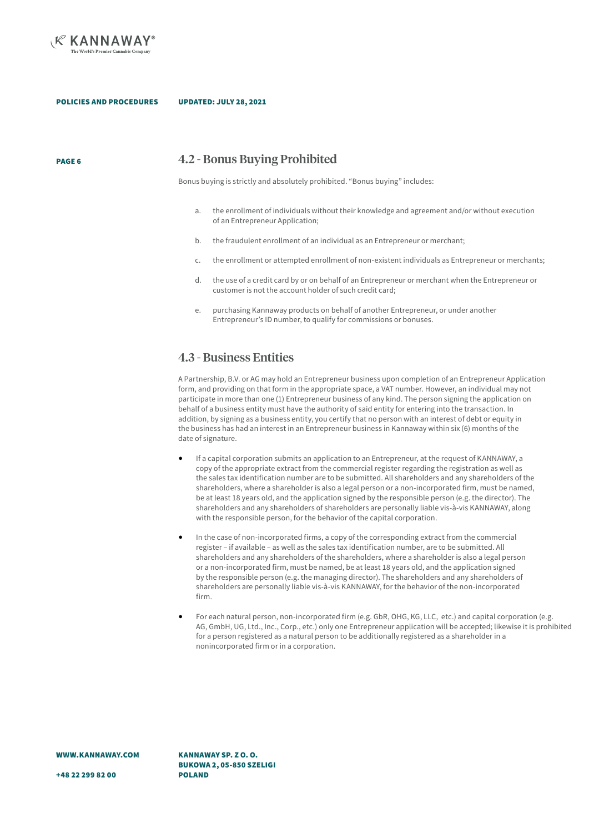

PAGE 6

POLICIES AND PROCEDURES UPDATED: JULY 28, 2021

4.2 - Bonus Buying Prohibited

Bonus buying is strictly and absolutely prohibited. "Bonus buying" includes:

- a. the enrollment of individuals without their knowledge and agreement and/or without execution of an Entrepreneur Application;
- b. the fraudulent enrollment of an individual as an Entrepreneur or merchant;
- c. the enrollment or attempted enrollment of non-existent individuals as Entrepreneur or merchants;
- d. the use of a credit card by or on behalf of an Entrepreneur or merchant when the Entrepreneur or customer is not the account holder of such credit card;
- e. purchasing Kannaway products on behalf of another Entrepreneur, or under another Entrepreneur's ID number, to qualify for commissions or bonuses.

### 4.3 - Business Entities

A Partnership, B.V. or AG may hold an Entrepreneur business upon completion of an Entrepreneur Application form, and providing on that form in the appropriate space, a VAT number. However, an individual may not participate in more than one (1) Entrepreneur business of any kind. The person signing the application on behalf of a business entity must have the authority of said entity for entering into the transaction. In addition, by signing as a business entity, you certify that no person with an interest of debt or equity in the business has had an interest in an Entrepreneur business in Kannaway within six (6) months of the date of signature.

- If a capital corporation submits an application to an Entrepreneur, at the request of KANNAWAY, a copy of the appropriate extract from the commercial register regarding the registration as well as the sales tax identification number are to be submitted. All shareholders and any shareholders of the shareholders, where a shareholder is also a legal person or a non-incorporated firm, must be named, be at least 18 years old, and the application signed by the responsible person (e.g. the director). The shareholders and any shareholders of shareholders are personally liable vis-à-vis KANNAWAY, along with the responsible person, for the behavior of the capital corporation.
- In the case of non-incorporated firms, a copy of the corresponding extract from the commercial register – if available – as well as the sales tax identification number, are to be submitted. All shareholders and any shareholders of the shareholders, where a shareholder is also a legal person or a non-incorporated firm, must be named, be at least 18 years old, and the application signed by the responsible person (e.g. the managing director). The shareholders and any shareholders of shareholders are personally liable vis-à-vis KANNAWAY, for the behavior of the non-incorporated firm.
- For each natural person, non-incorporated firm (e.g. GbR, OHG, KG, LLC, etc.) and capital corporation (e.g. AG, GmbH, UG, Ltd., Inc., Corp., etc.) only one Entrepreneur application will be accepted; likewise it is prohibited for a person registered as a natural person to be additionally registered as a shareholder in a nonincorporated firm or in a corporation.

KANNAWAY SP. Z O. O. BUKOWA 2, 05-850 SZELIGI POLAND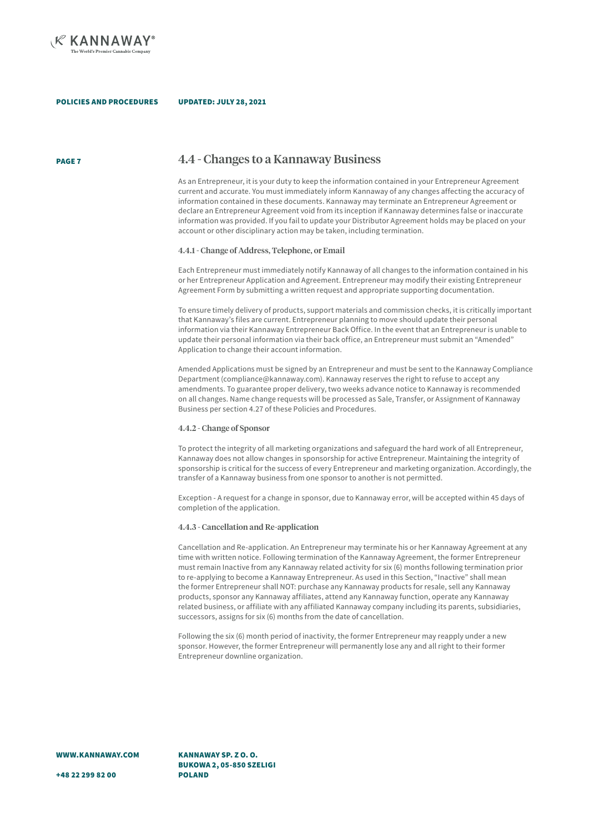

PAGE 7

### 4.4 - Changes to a Kannaway Business

As an Entrepreneur, it is your duty to keep the information contained in your Entrepreneur Agreement current and accurate. You must immediately inform Kannaway of any changes affecting the accuracy of information contained in these documents. Kannaway may terminate an Entrepreneur Agreement or declare an Entrepreneur Agreement void from its inception if Kannaway determines false or inaccurate information was provided. If you fail to update your Distributor Agreement holds may be placed on your account or other disciplinary action may be taken, including termination.

### 4.4.1 - Change of Address, Telephone, or Email

Each Entrepreneur must immediately notify Kannaway of all changes to the information contained in his or her Entrepreneur Application and Agreement. Entrepreneur may modify their existing Entrepreneur Agreement Form by submitting a written request and appropriate supporting documentation.

To ensure timely delivery of products, support materials and commission checks, it is critically important that Kannaway's files are current. Entrepreneur planning to move should update their personal information via their Kannaway Entrepreneur Back Office. In the event that an Entrepreneur is unable to update their personal information via their back office, an Entrepreneur must submit an "Amended" Application to change their account information.

Amended Applications must be signed by an Entrepreneur and must be sent to the Kannaway Compliance Department (compliance@kannaway.com). Kannaway reserves the right to refuse to accept any amendments. To guarantee proper delivery, two weeks advance notice to Kannaway is recommended on all changes. Name change requests will be processed as Sale, Transfer, or Assignment of Kannaway Business per section 4.27 of these Policies and Procedures.

### 4.4.2 - Change of Sponsor

To protect the integrity of all marketing organizations and safeguard the hard work of all Entrepreneur, Kannaway does not allow changes in sponsorship for active Entrepreneur. Maintaining the integrity of sponsorship is critical for the success of every Entrepreneur and marketing organization. Accordingly, the transfer of a Kannaway business from one sponsor to another is not permitted.

Exception - A request for a change in sponsor, due to Kannaway error, will be accepted within 45 days of completion of the application.

### 4.4.3 - Cancellation and Re-application

Cancellation and Re-application. An Entrepreneur may terminate his or her Kannaway Agreement at any time with written notice. Following termination of the Kannaway Agreement, the former Entrepreneur must remain Inactive from any Kannaway related activity for six (6) months following termination prior to re-applying to become a Kannaway Entrepreneur. As used in this Section, "Inactive" shall mean the former Entrepreneur shall NOT: purchase any Kannaway products for resale, sell any Kannaway products, sponsor any Kannaway affiliates, attend any Kannaway function, operate any Kannaway related business, or affiliate with any affiliated Kannaway company including its parents, subsidiaries, successors, assigns for six (6) months from the date of cancellation.

Following the six (6) month period of inactivity, the former Entrepreneur may reapply under a new sponsor. However, the former Entrepreneur will permanently lose any and all right to their former Entrepreneur downline organization.

WWW.KANNAWAY.COM

+48 22 299 82 00

KANNAWAY SP. Z O. O. BUKOWA 2, 05-850 SZELIGI POLAND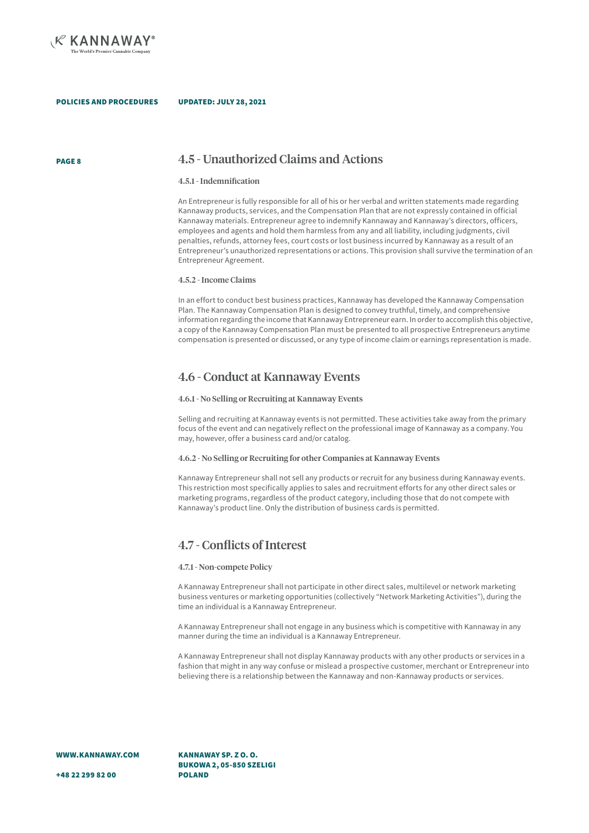

### PAGE 8 4.5 - Unauthorized Claims and Actions

### 4.5.1 - Indemnification

An Entrepreneur is fully responsible for all of his or her verbal and written statements made regarding Kannaway products, services, and the Compensation Plan that are not expressly contained in official Kannaway materials. Entrepreneur agree to indemnify Kannaway and Kannaway's directors, officers, employees and agents and hold them harmless from any and all liability, including judgments, civil penalties, refunds, attorney fees, court costs or lost business incurred by Kannaway as a result of an Entrepreneur's unauthorized representations or actions. This provision shall survive the termination of an Entrepreneur Agreement.

#### 4.5.2 - Income Claims

In an effort to conduct best business practices, Kannaway has developed the Kannaway Compensation Plan. The Kannaway Compensation Plan is designed to convey truthful, timely, and comprehensive information regarding the income that Kannaway Entrepreneur earn. In order to accomplish this objective, a copy of the Kannaway Compensation Plan must be presented to all prospective Entrepreneurs anytime compensation is presented or discussed, or any type of income claim or earnings representation is made.

### 4.6 - Conduct at Kannaway Events

#### 4.6.1 - No Selling or Recruiting at Kannaway Events

Selling and recruiting at Kannaway events is not permitted. These activities take away from the primary focus of the event and can negatively reflect on the professional image of Kannaway as a company. You may, however, offer a business card and/or catalog.

### 4.6.2 - No Selling or Recruiting for other Companies at Kannaway Events

Kannaway Entrepreneur shall not sell any products or recruit for any business during Kannaway events. This restriction most specifically applies to sales and recruitment efforts for any other direct sales or marketing programs, regardless of the product category, including those that do not compete with Kannaway's product line. Only the distribution of business cards is permitted.

### 4.7 - Conflicts of Interest

#### 4.7.1 - Non-compete Policy

A Kannaway Entrepreneur shall not participate in other direct sales, multilevel or network marketing business ventures or marketing opportunities (collectively "Network Marketing Activities"), during the time an individual is a Kannaway Entrepreneur.

A Kannaway Entrepreneur shall not engage in any business which is competitive with Kannaway in any manner during the time an individual is a Kannaway Entrepreneur.

A Kannaway Entrepreneur shall not display Kannaway products with any other products or services in a fashion that might in any way confuse or mislead a prospective customer, merchant or Entrepreneur into believing there is a relationship between the Kannaway and non-Kannaway products or services.

WWW.KANNAWAY.COM

KANNAWAY SP. Z O. O. BUKOWA 2, 05-850 SZELIGI POLAND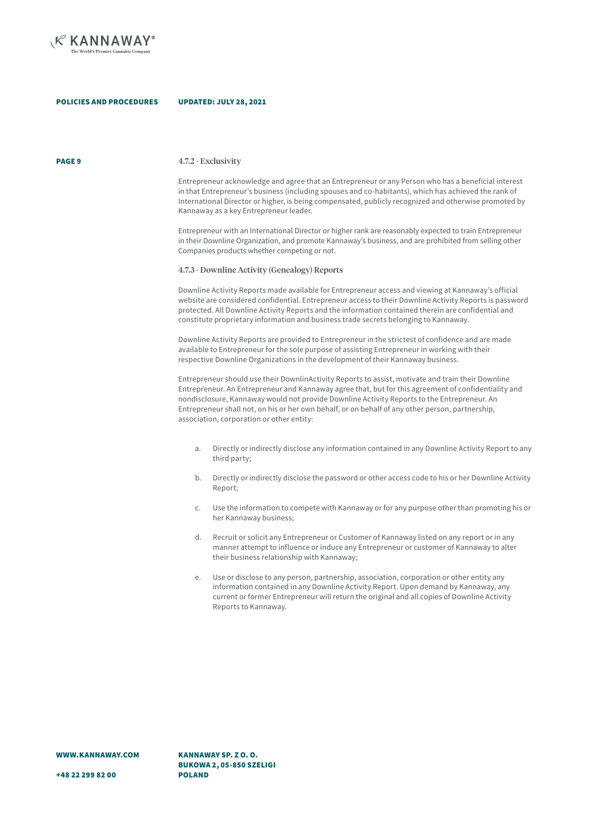

#### **PAGE 9** 4.7.2 - Exclusivity

Entrepreneur acknowledge and agree that an Entrepreneur or any Person who has a beneficial interest in that Entrepreneur's business (including spouses and co-habitants), which has achieved the rank of International Director or higher, is being compensated, publicly recognized and otherwise promoted by Kannaway as a key Entrepreneur leader.

Entrepreneur with an International Director or higher rank are reasonably expected to train Entrepreneur in their Downline Organization, and promote Kannaway's business, and are prohibited from selling other Companies products whether competing or not.

#### 4.7.3 - Downline Activity (Genealogy) Reports

Downline Activity Reports made available for Entrepreneur access and viewing at Kannaway's official website are considered confidential. Entrepreneur access to their Downline Activity Reports is password protected. All Downline Activity Reports and the information contained therein are confidential and constitute proprietary information and business trade secrets belonging to Kannaway.

Downline Activity Reports are provided to Entrepreneur in the strictest of confidence and are made available to Entrepreneur for the sole purpose of assisting Entrepreneur in working with their respective Downline Organizations in the development of their Kannaway business.

Entrepreneur should use their DownlinActivity Reports to assist, motivate and train their Downline Entrepreneur. An Entrepreneur and Kannaway agree that, but for this agreement of confidentiality and nondisclosure, Kannaway would not provide Downline Activity Reports to the Entrepreneur. An Entrepreneur shall not, on his or her own behalf, or on behalf of any other person, partnership, association, corporation or other entity:

- a. Directly or indirectly disclose any information contained in any Downline Activity Report to any third party;
- b. Directly or indirectly disclose the password or other access code to his or her Downline Activity Report;
- c. Use the information to compete with Kannaway or for any purpose other than promoting his or her Kannaway business;
- d. Recruit or solicit any Entrepreneur or Customer of Kannaway listed on any report or in any manner attempt to influence or induce any Entrepreneur or customer of Kannaway to alter their business relationship with Kannaway;
- e. Use or disclose to any person, partnership, association, corporation or other entity any information contained in any Downline Activity Report. Upon demand by Kannaway, any current or former Entrepreneur will return the original and all copies of Downline Activity Reports to Kannaway.

KANNAWAY SP. Z O. O. BUKOWA 2, 05-850 SZELIGI POLAND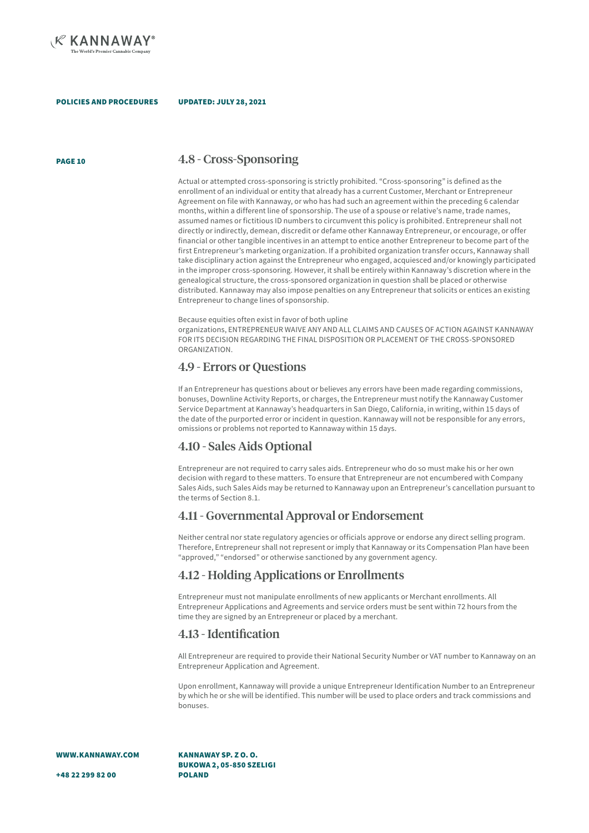

#### UPDATED: JULY 28, 2021

### PAGE 10 4.8 - Cross-Sponsoring

Actual or attempted cross-sponsoring is strictly prohibited. "Cross-sponsoring" is defined as the enrollment of an individual or entity that already has a current Customer, Merchant or Entrepreneur Agreement on file with Kannaway, or who has had such an agreement within the preceding 6 calendar months, within a different line of sponsorship. The use of a spouse or relative's name, trade names, assumed names or fictitious ID numbers to circumvent this policy is prohibited. Entrepreneur shall not directly or indirectly, demean, discredit or defame other Kannaway Entrepreneur, or encourage, or offer financial or other tangible incentives in an attempt to entice another Entrepreneur to become part of the first Entrepreneur's marketing organization. If a prohibited organization transfer occurs, Kannaway shall take disciplinary action against the Entrepreneur who engaged, acquiesced and/or knowingly participated in the improper cross-sponsoring. However, it shall be entirely within Kannaway's discretion where in the genealogical structure, the cross-sponsored organization in question shall be placed or otherwise distributed. Kannaway may also impose penalties on any Entrepreneur that solicits or entices an existing Entrepreneur to change lines of sponsorship.

#### Because equities often exist in favor of both upline

organizations, ENTREPRENEUR WAIVE ANY AND ALL CLAIMS AND CAUSES OF ACTION AGAINST KANNAWAY FOR ITS DECISION REGARDING THE FINAL DISPOSITION OR PLACEMENT OF THE CROSS-SPONSORED ORGANIZATION.

### 4.9 - Errors or Questions

If an Entrepreneur has questions about or believes any errors have been made regarding commissions, bonuses, Downline Activity Reports, or charges, the Entrepreneur must notify the Kannaway Customer Service Department at Kannaway's headquarters in San Diego, California, in writing, within 15 days of the date of the purported error or incident in question. Kannaway will not be responsible for any errors, omissions or problems not reported to Kannaway within 15 days.

### 4.10 - Sales Aids Optional

Entrepreneur are not required to carry sales aids. Entrepreneur who do so must make his or her own decision with regard to these matters. To ensure that Entrepreneur are not encumbered with Company Sales Aids, such Sales Aids may be returned to Kannaway upon an Entrepreneur's cancellation pursuant to the terms of Section 8.1.

## 4.11 - Governmental Approval or Endorsement

Neither central nor state regulatory agencies or officials approve or endorse any direct selling program. Therefore, Entrepreneur shall not represent or imply that Kannaway or its Compensation Plan have been "approved," "endorsed" or otherwise sanctioned by any government agency.

### 4.12 - Holding Applications or Enrollments

Entrepreneur must not manipulate enrollments of new applicants or Merchant enrollments. All Entrepreneur Applications and Agreements and service orders must be sent within 72 hours from the time they are signed by an Entrepreneur or placed by a merchant.

### 4.13 - Identification

All Entrepreneur are required to provide their National Security Number or VAT number to Kannaway on an Entrepreneur Application and Agreement.

Upon enrollment, Kannaway will provide a unique Entrepreneur Identification Number to an Entrepreneur by which he or she will be identified. This number will be used to place orders and track commissions and bonuses.

WWW.KANNAWAY.COM

KANNAWAY SP. Z O. O. BUKOWA 2, 05-850 SZELIGI POLAND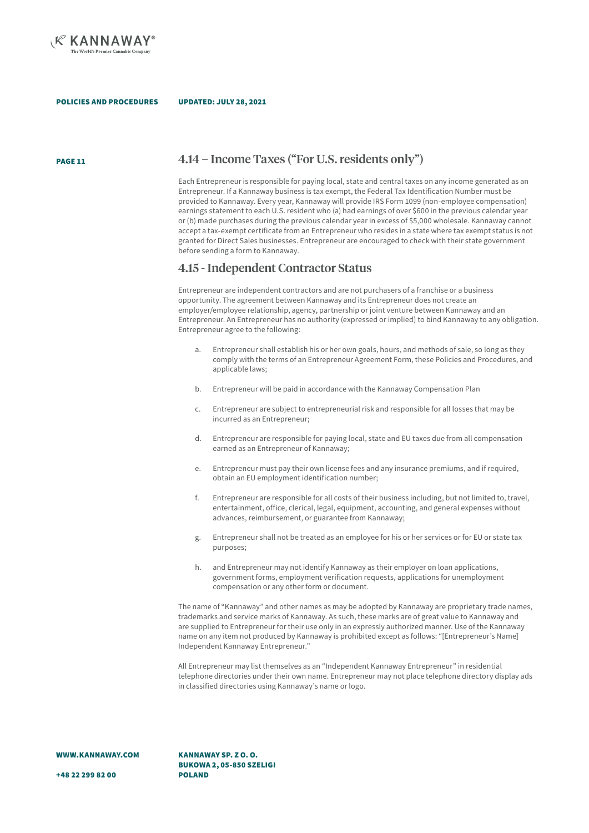

#### UPDATED: JULY 28, 2021

### PAGE 11 4.14 – Income Taxes ("For U.S. residents only")

Each Entrepreneur is responsible for paying local, state and central taxes on any income generated as an Entrepreneur. If a Kannaway business is tax exempt, the Federal Tax Identification Number must be provided to Kannaway. Every year, Kannaway will provide IRS Form 1099 (non-employee compensation) earnings statement to each U.S. resident who (a) had earnings of over \$600 in the previous calendar year or (b) made purchases during the previous calendar year in excess of \$5,000 wholesale. Kannaway cannot accept a tax-exempt certificate from an Entrepreneur who resides in a state where tax exempt status is not granted for Direct Sales businesses. Entrepreneur are encouraged to check with their state government before sending a form to Kannaway.

### 4.15 - Independent Contractor Status

Entrepreneur are independent contractors and are not purchasers of a franchise or a business opportunity. The agreement between Kannaway and its Entrepreneur does not create an employer/employee relationship, agency, partnership or joint venture between Kannaway and an Entrepreneur. An Entrepreneur has no authority (expressed or implied) to bind Kannaway to any obligation. Entrepreneur agree to the following:

- a. Entrepreneur shall establish his or her own goals, hours, and methods of sale, so long as they comply with the terms of an Entrepreneur Agreement Form, these Policies and Procedures, and applicable laws;
- b. Entrepreneur will be paid in accordance with the Kannaway Compensation Plan
- c. Entrepreneur are subject to entrepreneurial risk and responsible for all losses that may be incurred as an Entrepreneur;
- d. Entrepreneur are responsible for paying local, state and EU taxes due from all compensation earned as an Entrepreneur of Kannaway;
- e. Entrepreneur must pay their own license fees and any insurance premiums, and if required, obtain an EU employment identification number;
- f. Entrepreneur are responsible for all costs of their business including, but not limited to, travel, entertainment, office, clerical, legal, equipment, accounting, and general expenses without advances, reimbursement, or guarantee from Kannaway;
- g. Entrepreneur shall not be treated as an employee for his or her services or for EU or state tax purposes;
- h. and Entrepreneur may not identify Kannaway as their employer on loan applications, government forms, employment verification requests, applications for unemployment compensation or any other form or document.

The name of "Kannaway" and other names as may be adopted by Kannaway are proprietary trade names, trademarks and service marks of Kannaway. As such, these marks are of great value to Kannaway and are supplied to Entrepreneur for their use only in an expressly authorized manner. Use of the Kannaway name on any item not produced by Kannaway is prohibited except as follows: "[Entrepreneur's Name] Independent Kannaway Entrepreneur."

All Entrepreneur may list themselves as an "Independent Kannaway Entrepreneur" in residential telephone directories under their own name. Entrepreneur may not place telephone directory display ads in classified directories using Kannaway's name or logo.

WWW.KANNAWAY.COM

KANNAWAY SP. Z O. O. BUKOWA 2, 05-850 SZELIGI POLAND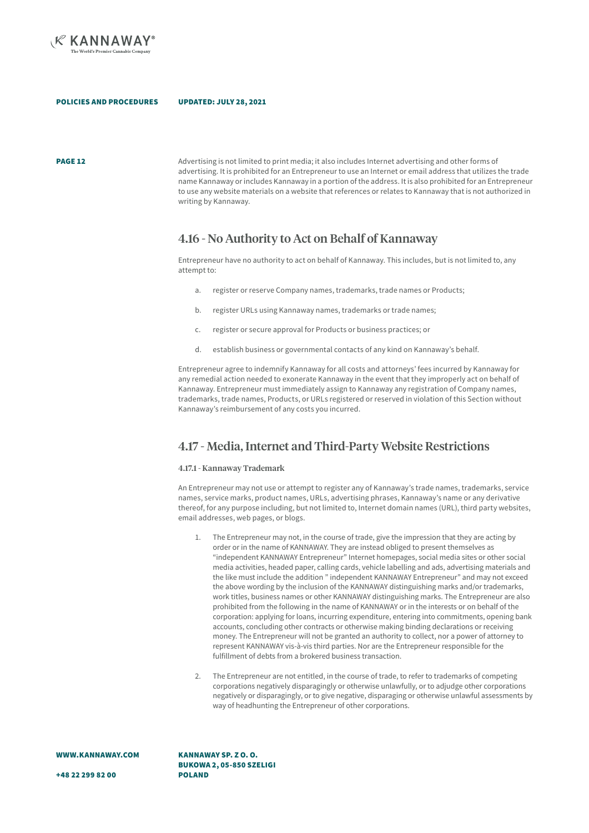

**PAGE 12** Advertising is not limited to print media; it also includes Internet advertising and other forms of advertising. It is prohibited for an Entrepreneur to use an Internet or email address that utilizes the trade name Kannaway or includes Kannaway in a portion of the address. It is also prohibited for an Entrepreneur to use any website materials on a website that references or relates to Kannaway that is not authorized in writing by Kannaway.

### 4.16 - No Authority to Act on Behalf of Kannaway

Entrepreneur have no authority to act on behalf of Kannaway. This includes, but is not limited to, any attempt to:

- a. register or reserve Company names, trademarks, trade names or Products;
- b. register URLs using Kannaway names, trademarks or trade names;
- c. register or secure approval for Products or business practices; or
- d. establish business or governmental contacts of any kind on Kannaway's behalf.

Entrepreneur agree to indemnify Kannaway for all costs and attorneys' fees incurred by Kannaway for any remedial action needed to exonerate Kannaway in the event that they improperly act on behalf of Kannaway. Entrepreneur must immediately assign to Kannaway any registration of Company names, trademarks, trade names, Products, or URLs registered or reserved in violation of this Section without Kannaway's reimbursement of any costs you incurred.

### 4.17 - Media, Internet and Third-Party Website Restrictions

### 4.17.1 - Kannaway Trademark

An Entrepreneur may not use or attempt to register any of Kannaway's trade names, trademarks, service names, service marks, product names, URLs, advertising phrases, Kannaway's name or any derivative thereof, for any purpose including, but not limited to, Internet domain names (URL), third party websites, email addresses, web pages, or blogs.

- 1. The Entrepreneur may not, in the course of trade, give the impression that they are acting by order or in the name of KANNAWAY. They are instead obliged to present themselves as "independent KANNAWAY Entrepreneur" Internet homepages, social media sites or other social media activities, headed paper, calling cards, vehicle labelling and ads, advertising materials and the like must include the addition " independent KANNAWAY Entrepreneur" and may not exceed the above wording by the inclusion of the KANNAWAY distinguishing marks and/or trademarks, work titles, business names or other KANNAWAY distinguishing marks. The Entrepreneur are also prohibited from the following in the name of KANNAWAY or in the interests or on behalf of the corporation: applying for loans, incurring expenditure, entering into commitments, opening bank accounts, concluding other contracts or otherwise making binding declarations or receiving money. The Entrepreneur will not be granted an authority to collect, nor a power of attorney to represent KANNAWAY vis-à-vis third parties. Nor are the Entrepreneur responsible for the fulfillment of debts from a brokered business transaction.
- 2. The Entrepreneur are not entitled, in the course of trade, to refer to trademarks of competing corporations negatively disparagingly or otherwise unlawfully, or to adjudge other corporations negatively or disparagingly, or to give negative, disparaging or otherwise unlawful assessments by way of headhunting the Entrepreneur of other corporations.

WWW.KANNAWAY.COM

KANNAWAY SP. Z O. O. BUKOWA 2, 05-850 SZELIGI POLAND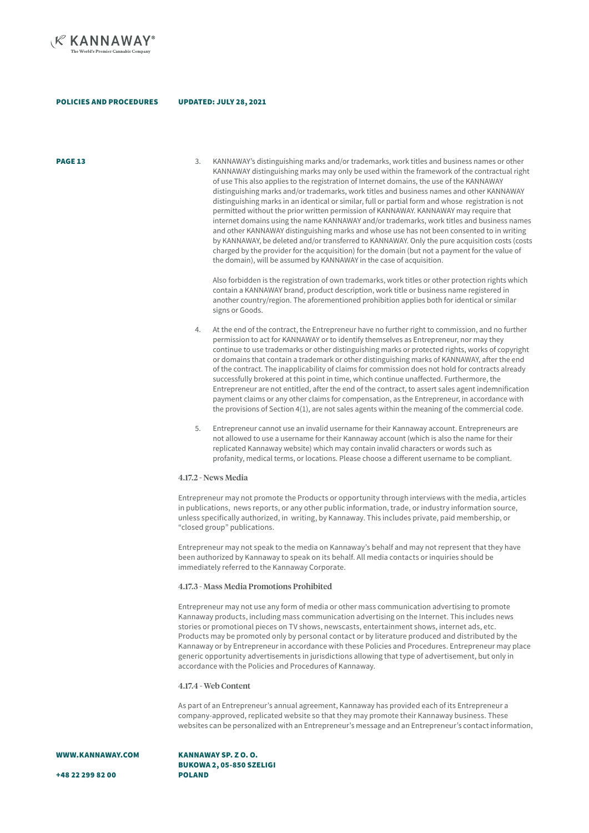

### UPDATED: JULY 28, 2021

**PAGE 13** 5. KANNAWAY's distinguishing marks and/or trademarks, work titles and business names or other KANNAWAY distinguishing marks may only be used within the framework of the contractual right of use This also applies to the registration of Internet domains, the use of the KANNAWAY distinguishing marks and/or trademarks, work titles and business names and other KANNAWAY distinguishing marks in an identical or similar, full or partial form and whose registration is not permitted without the prior written permission of KANNAWAY. KANNAWAY may require that internet domains using the name KANNAWAY and/or trademarks, work titles and business names and other KANNAWAY distinguishing marks and whose use has not been consented to in writing by KANNAWAY, be deleted and/or transferred to KANNAWAY. Only the pure acquisition costs (costs charged by the provider for the acquisition) for the domain (but not a payment for the value of the domain), will be assumed by KANNAWAY in the case of acquisition.

> Also forbidden is the registration of own trademarks, work titles or other protection rights which contain a KANNAWAY brand, product description, work title or business name registered in another country/region. The aforementioned prohibition applies both for identical or similar signs or Goods.

- At the end of the contract, the Entrepreneur have no further right to commission, and no further permission to act for KANNAWAY or to identify themselves as Entrepreneur, nor may they continue to use trademarks or other distinguishing marks or protected rights, works of copyright or domains that contain a trademark or other distinguishing marks of KANNAWAY, after the end of the contract. The inapplicability of claims for commission does not hold for contracts already successfully brokered at this point in time, which continue unaffected. Furthermore, the Entrepreneur are not entitled, after the end of the contract, to assert sales agent indemnification payment claims or any other claims for compensation, as the Entrepreneur, in accordance with the provisions of Section 4(1), are not sales agents within the meaning of the commercial code.
- 5. Entrepreneur cannot use an invalid username for their Kannaway account. Entrepreneurs are not allowed to use a username for their Kannaway account (which is also the name for their replicated Kannaway website) which may contain invalid characters or words such as profanity, medical terms, or locations. Please choose a different username to be compliant.

#### 4.17.2 - News Media

Entrepreneur may not promote the Products or opportunity through interviews with the media, articles in publications, news reports, or any other public information, trade, or industry information source, unless specifically authorized, in writing, by Kannaway. This includes private, paid membership, or "closed group" publications.

Entrepreneur may not speak to the media on Kannaway's behalf and may not represent that they have been authorized by Kannaway to speak on its behalf. All media contacts or inquiries should be immediately referred to the Kannaway Corporate.

### 4.17.3 - Mass Media Promotions Prohibited

Entrepreneur may not use any form of media or other mass communication advertising to promote Kannaway products, including mass communication advertising on the Internet. This includes news stories or promotional pieces on TV shows, newscasts, entertainment shows, internet ads, etc. Products may be promoted only by personal contact or by literature produced and distributed by the Kannaway or by Entrepreneur in accordance with these Policies and Procedures. Entrepreneur may place generic opportunity advertisements in jurisdictions allowing that type of advertisement, but only in accordance with the Policies and Procedures of Kannaway.

#### 4.17.4 - Web Content

As part of an Entrepreneur's annual agreement, Kannaway has provided each of its Entrepreneur a company-approved, replicated website so that they may promote their Kannaway business. These websites can be personalized with an Entrepreneur's message and an Entrepreneur's contact information,

### WWW.KANNAWAY.COM

KANNAWAY SP. Z O. O. BUKOWA 2, 05-850 SZELIGI POLAND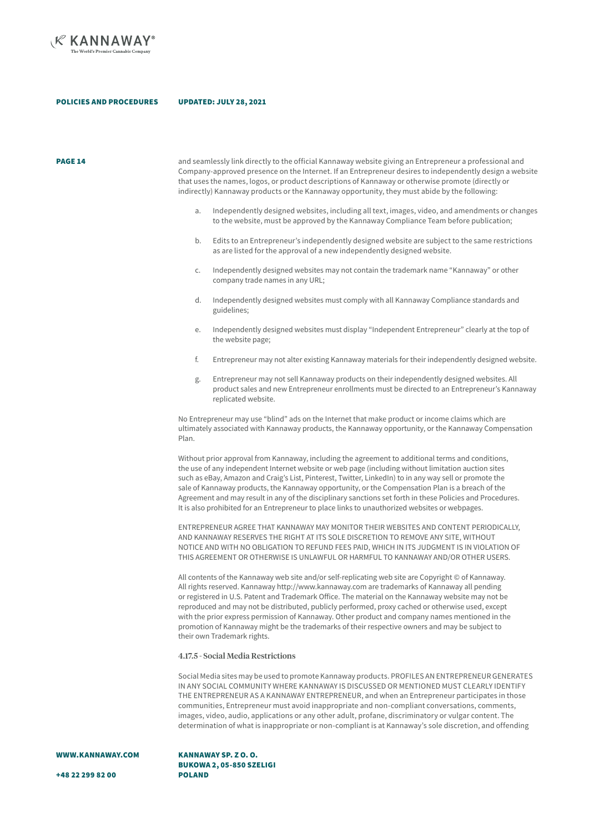

PAGE 14

and seamlessly link directly to the official Kannaway website giving an Entrepreneur a professional and Company-approved presence on the Internet. If an Entrepreneur desires to independently design a website that uses the names, logos, or product descriptions of Kannaway or otherwise promote (directly or indirectly) Kannaway products or the Kannaway opportunity, they must abide by the following:

- a. Independently designed websites, including all text, images, video, and amendments or changes to the website, must be approved by the Kannaway Compliance Team before publication;
- b. Edits to an Entrepreneur's independently designed website are subject to the same restrictions as are listed for the approval of a new independently designed website.
- c. Independently designed websites may not contain the trademark name "Kannaway" or other company trade names in any URL;
- d. Independently designed websites must comply with all Kannaway Compliance standards and guidelines;
- e. Independently designed websites must display "Independent Entrepreneur" clearly at the top of the website page;
- f. Entrepreneur may not alter existing Kannaway materials for their independently designed website.
- Entrepreneur may not sell Kannaway products on their independently designed websites. All product sales and new Entrepreneur enrollments must be directed to an Entrepreneur's Kannaway replicated website.

No Entrepreneur may use "blind" ads on the Internet that make product or income claims which are ultimately associated with Kannaway products, the Kannaway opportunity, or the Kannaway Compensation Plan.

Without prior approval from Kannaway, including the agreement to additional terms and conditions, the use of any independent Internet website or web page (including without limitation auction sites such as eBay, Amazon and Craig's List, Pinterest, Twitter, LinkedIn) to in any way sell or promote the sale of Kannaway products, the Kannaway opportunity, or the Compensation Plan is a breach of the Agreement and may result in any of the disciplinary sanctions set forth in these Policies and Procedures. It is also prohibited for an Entrepreneur to place links to unauthorized websites or webpages.

ENTREPRENEUR AGREE THAT KANNAWAY MAY MONITOR THEIR WEBSITES AND CONTENT PERIODICALLY, AND KANNAWAY RESERVES THE RIGHT AT ITS SOLE DISCRETION TO REMOVE ANY SITE, WITHOUT NOTICE AND WITH NO OBLIGATION TO REFUND FEES PAID, WHICH IN ITS JUDGMENT IS IN VIOLATION OF THIS AGREEMENT OR OTHERWISE IS UNLAWFUL OR HARMFUL TO KANNAWAY AND/OR OTHER USERS.

All contents of the Kannaway web site and/or self-replicating web site are Copyright © of Kannaway. All rights reserved. Kannaway http://www.kannaway.com are trademarks of Kannaway all pending or registered in U.S. Patent and Trademark Office. The material on the Kannaway website may not be reproduced and may not be distributed, publicly performed, proxy cached or otherwise used, except with the prior express permission of Kannaway. Other product and company names mentioned in the promotion of Kannaway might be the trademarks of their respective owners and may be subject to their own Trademark rights.

#### 4.17.5 - Social Media Restrictions

Social Media sites may be used to promote Kannaway products. PROFILES AN ENTREPRENEUR GENERATES IN ANY SOCIAL COMMUNITY WHERE KANNAWAY IS DISCUSSED OR MENTIONED MUST CLEARLY IDENTIFY THE ENTREPRENEUR AS A KANNAWAY ENTREPRENEUR, and when an Entrepreneur participates in those communities, Entrepreneur must avoid inappropriate and non-compliant conversations, comments, images, video, audio, applications or any other adult, profane, discriminatory or vulgar content. The determination of what is inappropriate or non-compliant is at Kannaway's sole discretion, and offending

WWW.KANNAWAY.COM

KANNAWAY SP. Z O. O. BUKOWA 2, 05-850 SZELIGI POLAND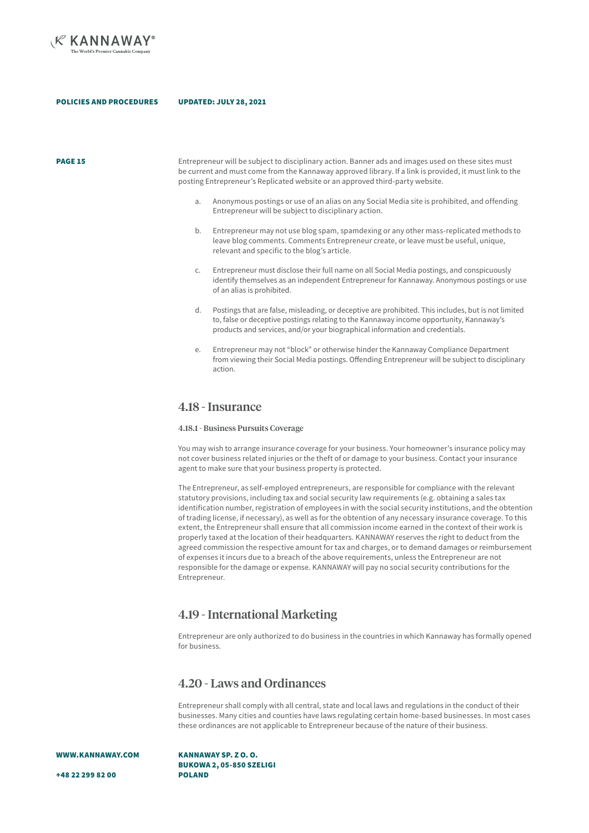

PAGE 15

Entrepreneur will be subject to disciplinary action. Banner ads and images used on these sites must be current and must come from the Kannaway approved library. If a link is provided, it must link to the posting Entrepreneur's Replicated website or an approved third-party website.

- a. Anonymous postings or use of an alias on any Social Media site is prohibited, and offending Entrepreneur will be subject to disciplinary action.
- b. Entrepreneur may not use blog spam, spamdexing or any other mass-replicated methods to leave blog comments. Comments Entrepreneur create, or leave must be useful, unique, relevant and specific to the blog's article.
- c. Entrepreneur must disclose their full name on all Social Media postings, and conspicuously identify themselves as an independent Entrepreneur for Kannaway. Anonymous postings or use of an alias is prohibited.
- d. Postings that are false, misleading, or deceptive are prohibited. This includes, but is not limited to, false or deceptive postings relating to the Kannaway income opportunity, Kannaway's products and services, and/or your biographical information and credentials.
- e. Entrepreneur may not "block" or otherwise hinder the Kannaway Compliance Department from viewing their Social Media postings. Offending Entrepreneur will be subject to disciplinary action.

### 4.18 - Insurance

### 4.18.1 - Business Pursuits Coverage

You may wish to arrange insurance coverage for your business. Your homeowner's insurance policy may not cover business related injuries or the theft of or damage to your business. Contact your insurance agent to make sure that your business property is protected.

The Entrepreneur, as self-employed entrepreneurs, are responsible for compliance with the relevant statutory provisions, including tax and social security law requirements (e.g. obtaining a sales tax identification number, registration of employees in with the social security institutions, and the obtention of trading license, if necessary), as well as for the obtention of any necessary insurance coverage. To this extent, the Entrepreneur shall ensure that all commission income earned in the context of their work is properly taxed at the location of their headquarters. KANNAWAY reserves the right to deduct from the agreed commission the respective amount for tax and charges, or to demand damages or reimbursement of expenses it incurs due to a breach of the above requirements, unless the Entrepreneur are not responsible for the damage or expense. KANNAWAY will pay no social security contributions for the Entrepreneur.

### 4.19 - International Marketing

Entrepreneur are only authorized to do business in the countries in which Kannaway has formally opened for business.

### 4.20 - Laws and Ordinances

Entrepreneur shall comply with all central, state and local laws and regulations in the conduct of their businesses. Many cities and counties have laws regulating certain home-based businesses. In most cases these ordinances are not applicable to Entrepreneur because of the nature of their business.

WWW.KANNAWAY.COM

KANNAWAY SP. Z O. O. BUKOWA 2, 05-850 SZELIGI POLAND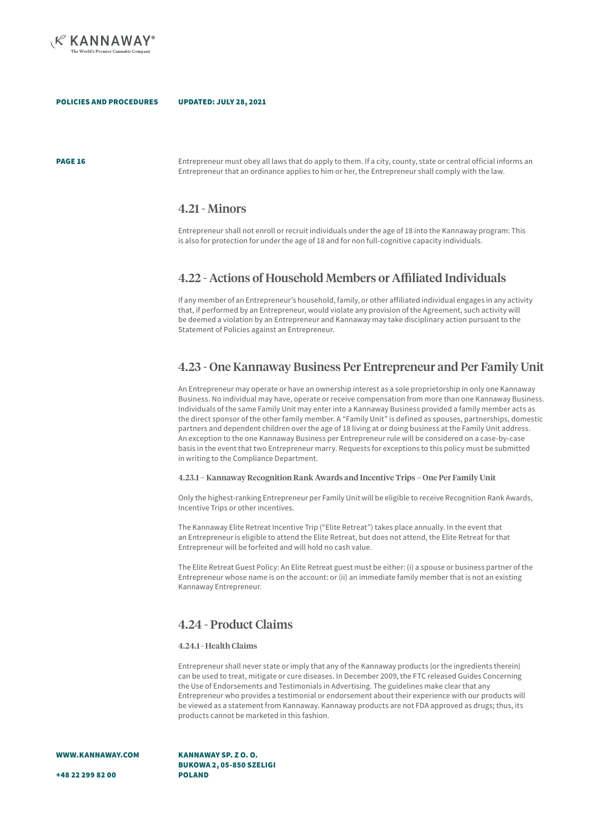

PAGE 16

Entrepreneur must obey all laws that do apply to them. If a city, county, state or central official informs an Entrepreneur that an ordinance applies to him or her, the Entrepreneur shall comply with the law.

### 4.21 - Minors

Entrepreneur shall not enroll or recruit individuals under the age of 18 into the Kannaway program: This is also for protection for under the age of 18 and for non full-cognitive capacity individuals.

### 4.22 - Actions of Household Members or Affiliated Individuals

If any member of an Entrepreneur's household, family, or other affiliated individual engages in any activity that, if performed by an Entrepreneur, would violate any provision of the Agreement, such activity will be deemed a violation by an Entrepreneur and Kannaway may take disciplinary action pursuant to the Statement of Policies against an Entrepreneur.

### 4.23 - One Kannaway Business Per Entrepreneur and Per Family Unit

An Entrepreneur may operate or have an ownership interest as a sole proprietorship in only one Kannaway Business. No individual may have, operate or receive compensation from more than one Kannaway Business. Individuals of the same Family Unit may enter into a Kannaway Business provided a family member acts as the direct sponsor of the other family member. A "Family Unit" is defined as spouses, partnerships, domestic partners and dependent children over the age of 18 living at or doing business at the Family Unit address. An exception to the one Kannaway Business per Entrepreneur rule will be considered on a case-by-case basis in the event that two Entrepreneur marry. Requests for exceptions to this policy must be submitted in writing to the Compliance Department.

### 4.23.1 – Kannaway Recognition Rank Awards and Incentive Trips – One Per Family Unit

Only the highest-ranking Entrepreneur per Family Unit will be eligible to receive Recognition Rank Awards, Incentive Trips or other incentives.

The Kannaway Elite Retreat Incentive Trip ("Elite Retreat") takes place annually. In the event that an Entrepreneur is eligible to attend the Elite Retreat, but does not attend, the Elite Retreat for that Entrepreneur will be forfeited and will hold no cash value.

The Elite Retreat Guest Policy: An Elite Retreat guest must be either: (i) a spouse or business partner of the Entrepreneur whose name is on the account: or (ii) an immediate family member that is not an existing Kannaway Entrepreneur.

### 4.24 - Product Claims

#### 4.24.1 - Health Claims

Entrepreneur shall never state or imply that any of the Kannaway products (or the ingredients therein) can be used to treat, mitigate or cure diseases. In December 2009, the FTC released Guides Concerning the Use of Endorsements and Testimonials in Advertising. The guidelines make clear that any Entrepreneur who provides a testimonial or endorsement about their experience with our products will be viewed as a statement from Kannaway. Kannaway products are not FDA approved as drugs; thus, its products cannot be marketed in this fashion.

WWW.KANNAWAY.COM

KANNAWAY SP. Z O. O. BUKOWA 2, 05-850 SZELIGI POLAND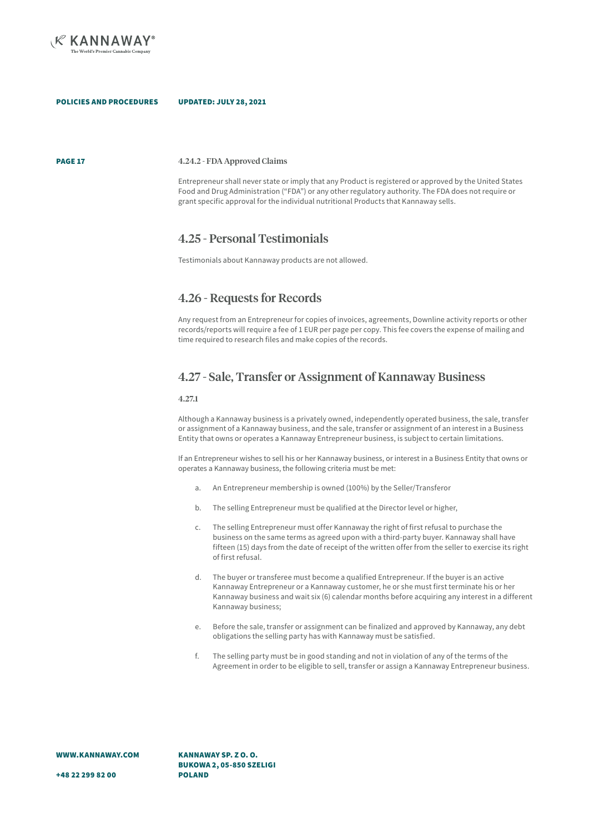

PAGE 17

#### 4.24.2 - FDA Approved Claims

Entrepreneur shall never state or imply that any Product is registered or approved by the United States Food and Drug Administration ("FDA") or any other regulatory authority. The FDA does not require or grant specific approval for the individual nutritional Products that Kannaway sells.

## 4.25 - Personal Testimonials

Testimonials about Kannaway products are not allowed.

### 4.26 - Requests for Records

Any request from an Entrepreneur for copies of invoices, agreements, Downline activity reports or other records/reports will require a fee of 1 EUR per page per copy. This fee covers the expense of mailing and time required to research files and make copies of the records.

## 4.27 - Sale, Transfer or Assignment of Kannaway Business

#### 4.27.1

Although a Kannaway business is a privately owned, independently operated business, the sale, transfer or assignment of a Kannaway business, and the sale, transfer or assignment of an interest in a Business Entity that owns or operates a Kannaway Entrepreneur business, is subject to certain limitations.

If an Entrepreneur wishes to sell his or her Kannaway business, or interest in a Business Entity that owns or operates a Kannaway business, the following criteria must be met:

- a. An Entrepreneur membership is owned (100%) by the Seller/Transferor
- b. The selling Entrepreneur must be qualified at the Director level or higher,
- c. The selling Entrepreneur must offer Kannaway the right of first refusal to purchase the business on the same terms as agreed upon with a third-party buyer. Kannaway shall have fifteen (15) days from the date of receipt of the written offer from the seller to exercise its right of first refusal.
- d. The buyer or transferee must become a qualified Entrepreneur. If the buyer is an active Kannaway Entrepreneur or a Kannaway customer, he or she must first terminate his or her Kannaway business and wait six (6) calendar months before acquiring any interest in a different Kannaway business;
- e. Before the sale, transfer or assignment can be finalized and approved by Kannaway, any debt obligations the selling party has with Kannaway must be satisfied.
- f. The selling party must be in good standing and not in violation of any of the terms of the Agreement in order to be eligible to sell, transfer or assign a Kannaway Entrepreneur business.

KANNAWAY SP. Z O. O. BUKOWA 2, 05-850 SZELIGI POLAND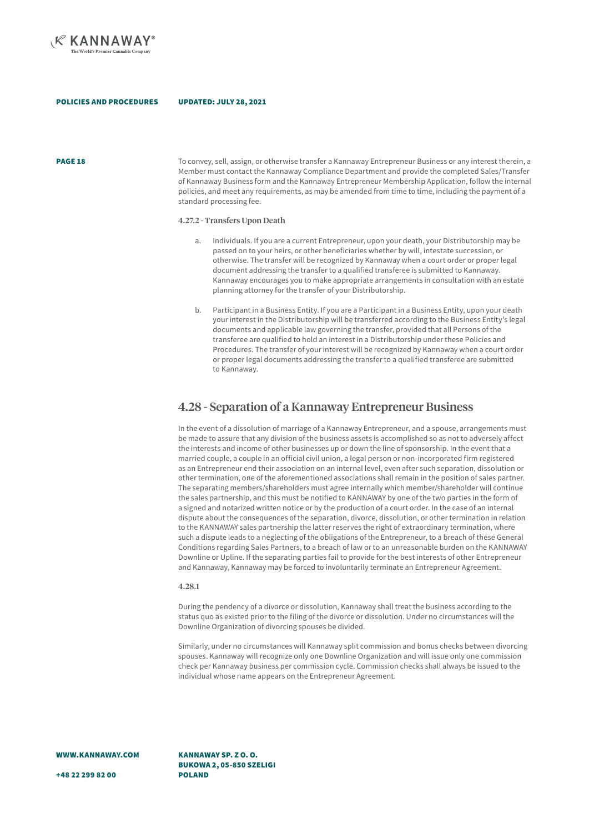

**PAGE 18** To convey, sell, assign, or otherwise transfer a Kannaway Entrepreneur Business or any interest therein, a Member must contact the Kannaway Compliance Department and provide the completed Sales/Transfer of Kannaway Business form and the Kannaway Entrepreneur Membership Application, follow the internal policies, and meet any requirements, as may be amended from time to time, including the payment of a standard processing fee.

### 4.27.2 - Transfers Upon Death

- Individuals. If you are a current Entrepreneur, upon your death, your Distributorship may be passed on to your heirs, or other beneficiaries whether by will, intestate succession, or otherwise. The transfer will be recognized by Kannaway when a court order or proper legal document addressing the transfer to a qualified transferee is submitted to Kannaway. Kannaway encourages you to make appropriate arrangements in consultation with an estate planning attorney for the transfer of your Distributorship.
- b. Participant in a Business Entity. If you are a Participant in a Business Entity, upon your death your interest in the Distributorship will be transferred according to the Business Entity's legal documents and applicable law governing the transfer, provided that all Persons of the transferee are qualified to hold an interest in a Distributorship under these Policies and Procedures. The transfer of your interest will be recognized by Kannaway when a court order or proper legal documents addressing the transfer to a qualified transferee are submitted to Kannaway.

### 4.28 - Separation of a Kannaway Entrepreneur Business

In the event of a dissolution of marriage of a Kannaway Entrepreneur, and a spouse, arrangements must be made to assure that any division of the business assets is accomplished so as not to adversely affect the interests and income of other businesses up or down the line of sponsorship. In the event that a married couple, a couple in an official civil union, a legal person or non-incorporated firm registered as an Entrepreneur end their association on an internal level, even after such separation, dissolution or other termination, one of the aforementioned associations shall remain in the position of sales partner. The separating members/shareholders must agree internally which member/shareholder will continue the sales partnership, and this must be notified to KANNAWAY by one of the two parties in the form of a signed and notarized written notice or by the production of a court order. In the case of an internal dispute about the consequences of the separation, divorce, dissolution, or other termination in relation to the KANNAWAY sales partnership the latter reserves the right of extraordinary termination, where such a dispute leads to a neglecting of the obligations of the Entrepreneur, to a breach of these General Conditions regarding Sales Partners, to a breach of law or to an unreasonable burden on the KANNAWAY Downline or Upline. If the separating parties fail to provide for the best interests of other Entrepreneur and Kannaway, Kannaway may be forced to involuntarily terminate an Entrepreneur Agreement.

#### 4.28.1

During the pendency of a divorce or dissolution, Kannaway shall treat the business according to the status quo as existed prior to the filing of the divorce or dissolution. Under no circumstances will the Downline Organization of divorcing spouses be divided.

Similarly, under no circumstances will Kannaway split commission and bonus checks between divorcing spouses. Kannaway will recognize only one Downline Organization and will issue only one commission check per Kannaway business per commission cycle. Commission checks shall always be issued to the individual whose name appears on the Entrepreneur Agreement.

WWW.KANNAWAY.COM

KANNAWAY SP. Z O. O. BUKOWA 2, 05-850 SZELIGI POLAND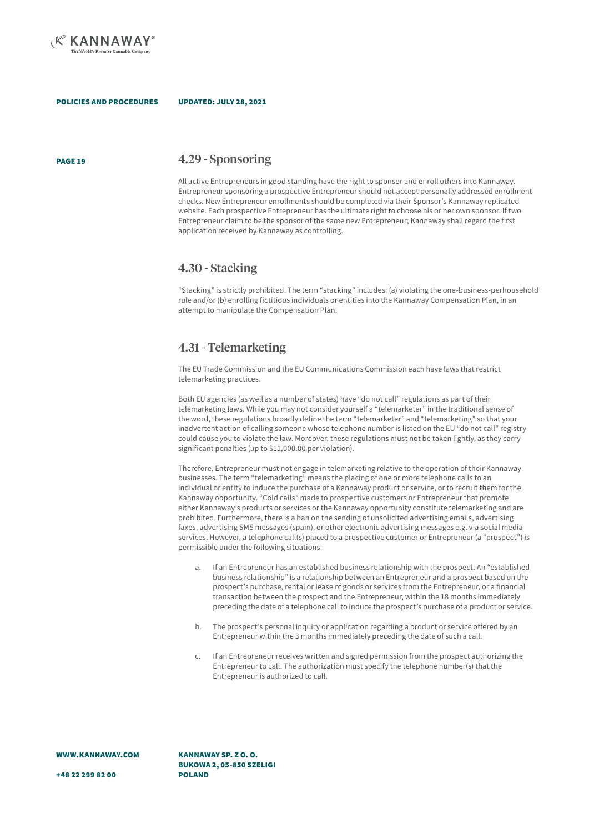

#### UPDATED: JULY 28, 2021

### PAGE 19 4.29 - Sponsoring

All active Entrepreneurs in good standing have the right to sponsor and enroll others into Kannaway. Entrepreneur sponsoring a prospective Entrepreneur should not accept personally addressed enrollment checks. New Entrepreneur enrollments should be completed via their Sponsor's Kannaway replicated website. Each prospective Entrepreneur has the ultimate right to choose his or her own sponsor. If two Entrepreneur claim to be the sponsor of the same new Entrepreneur; Kannaway shall regard the first application received by Kannaway as controlling.

### 4.30 - Stacking

"Stacking" is strictly prohibited. The term "stacking" includes: (a) violating the one-business-perhousehold rule and/or (b) enrolling fictitious individuals or entities into the Kannaway Compensation Plan, in an attempt to manipulate the Compensation Plan.

### 4.31 - Telemarketing

The EU Trade Commission and the EU Communications Commission each have laws that restrict telemarketing practices.

Both EU agencies (as well as a number of states) have "do not call" regulations as part of their telemarketing laws. While you may not consider yourself a "telemarketer" in the traditional sense of the word, these regulations broadly define the term "telemarketer" and "telemarketing" so that your inadvertent action of calling someone whose telephone number is listed on the EU "do not call" registry could cause you to violate the law. Moreover, these regulations must not be taken lightly, as they carry significant penalties (up to \$11,000.00 per violation).

Therefore, Entrepreneur must not engage in telemarketing relative to the operation of their Kannaway businesses. The term "telemarketing" means the placing of one or more telephone calls to an individual or entity to induce the purchase of a Kannaway product or service, or to recruit them for the Kannaway opportunity. "Cold calls" made to prospective customers or Entrepreneur that promote either Kannaway's products or services or the Kannaway opportunity constitute telemarketing and are prohibited. Furthermore, there is a ban on the sending of unsolicited advertising emails, advertising faxes, advertising SMS messages (spam), or other electronic advertising messages e.g. via social media services. However, a telephone call(s) placed to a prospective customer or Entrepreneur (a "prospect") is permissible under the following situations:

- a. If an Entrepreneur has an established business relationship with the prospect. An "established business relationship" is a relationship between an Entrepreneur and a prospect based on the prospect's purchase, rental or lease of goods or services from the Entrepreneur, or a financial transaction between the prospect and the Entrepreneur, within the 18 months immediately preceding the date of a telephone call to induce the prospect's purchase of a product or service.
- b. The prospect's personal inquiry or application regarding a product or service offered by an Entrepreneur within the 3 months immediately preceding the date of such a call.
- c. If an Entrepreneur receives written and signed permission from the prospect authorizing the Entrepreneur to call. The authorization must specify the telephone number(s) that the Entrepreneur is authorized to call.

WWW.KANNAWAY.COM

KANNAWAY SP. Z O. O. BUKOWA 2, 05-850 SZELIGI POLAND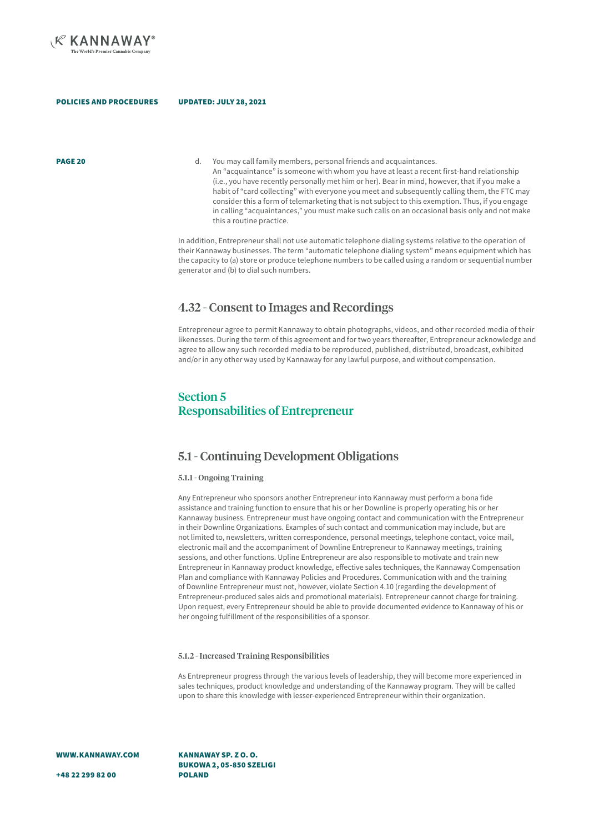

**PAGE 20 d.** You may call family members, personal friends and acquaintances. An "acquaintance" is someone with whom you have at least a recent first-hand relationship (i.e., you have recently personally met him or her). Bear in mind, however, that if you make a habit of "card collecting" with everyone you meet and subsequently calling them, the FTC may consider this a form of telemarketing that is not subject to this exemption. Thus, if you engage in calling "acquaintances," you must make such calls on an occasional basis only and not make

> In addition, Entrepreneur shall not use automatic telephone dialing systems relative to the operation of their Kannaway businesses. The term "automatic telephone dialing system" means equipment which has the capacity to (a) store or produce telephone numbers to be called using a random or sequential number generator and (b) to dial such numbers.

### 4.32 - Consent to Images and Recordings

Entrepreneur agree to permit Kannaway to obtain photographs, videos, and other recorded media of their likenesses. During the term of this agreement and for two years thereafter, Entrepreneur acknowledge and agree to allow any such recorded media to be reproduced, published, distributed, broadcast, exhibited and/or in any other way used by Kannaway for any lawful purpose, and without compensation.

## Section 5 Responsabilities of Entrepreneur

this a routine practice.

## 5.1 - Continuing Development Obligations

### 5.1.1 - Ongoing Training

UPDATED: JULY 28, 2021

Any Entrepreneur who sponsors another Entrepreneur into Kannaway must perform a bona fide assistance and training function to ensure that his or her Downline is properly operating his or her Kannaway business. Entrepreneur must have ongoing contact and communication with the Entrepreneur in their Downline Organizations. Examples of such contact and communication may include, but are not limited to, newsletters, written correspondence, personal meetings, telephone contact, voice mail, electronic mail and the accompaniment of Downline Entrepreneur to Kannaway meetings, training sessions, and other functions. Upline Entrepreneur are also responsible to motivate and train new Entrepreneur in Kannaway product knowledge, effective sales techniques, the Kannaway Compensation Plan and compliance with Kannaway Policies and Procedures. Communication with and the training of Downline Entrepreneur must not, however, violate Section 4.10 (regarding the development of Entrepreneur-produced sales aids and promotional materials). Entrepreneur cannot charge for training. Upon request, every Entrepreneur should be able to provide documented evidence to Kannaway of his or her ongoing fulfillment of the responsibilities of a sponsor.

### 5.1.2 - Increased Training Responsibilities

As Entrepreneur progress through the various levels of leadership, they will become more experienced in sales techniques, product knowledge and understanding of the Kannaway program. They will be called upon to share this knowledge with lesser-experienced Entrepreneur within their organization.

WWW.KANNAWAY.COM

KANNAWAY SP. Z O. O. BUKOWA 2, 05-850 SZELIGI POLAND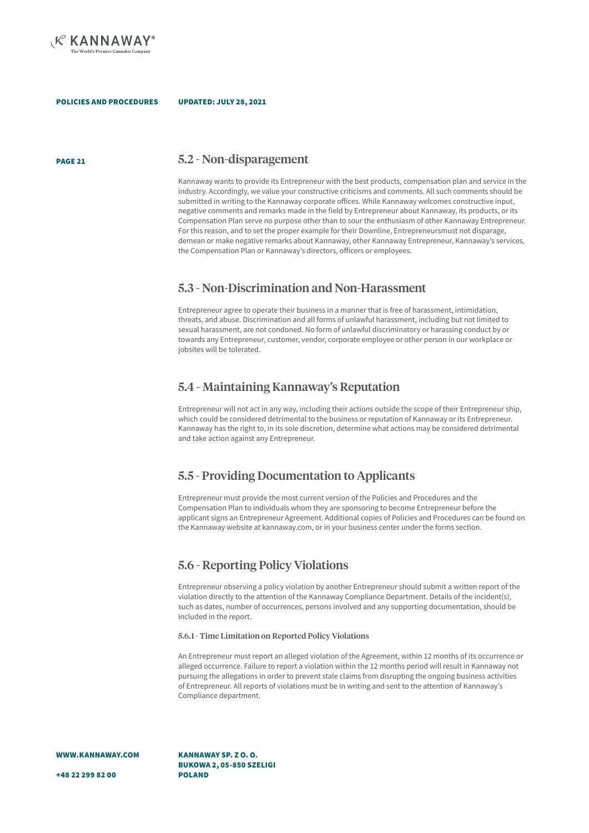

### UPDATED: JULY 28, 2021

PAGE 21

### 5.2 - Non-disparagement

Kannaway wants to provide its Entrepreneur with the best products, compensation plan and service in the industry. Accordingly, we value your constructive criticisms and comments. All such comments should be submitted in writing to the Kannaway corporate offices. While Kannaway welcomes constructive input, negative comments and remarks made in the field by Entrepreneur about Kannaway, its products, or its Compensation Plan serve no purpose other than to sour the enthusiasm of other Kannaway Entrepreneur. For this reason, and to set the proper example for their Downline, Entrepreneursmust not disparage, demean or make negative remarks about Kannaway, other Kannaway Entrepreneur, Kannaway's services, the Compensation Plan or Kannaway's directors, officers or employees.

### 5.3 - Non-Discrimination and Non-Harassment

Entrepreneur agree to operate their business in a manner that is free of harassment, intimidation, threats, and abuse. Discrimination and all forms of unlawful harassment, including but not limited to sexual harassment, are not condoned. No form of unlawful discriminatory or harassing conduct by or towards any Entrepreneur, customer, vendor, corporate employee or other person in our workplace or jobsites will be tolerated.

### 5.4 - Maintaining Kannaway's Reputation

Entrepreneur will not act in any way, including their actions outside the scope of their Entrepreneur ship, which could be considered detrimental to the business or reputation of Kannaway or its Entrepreneur. Kannaway has the right to, in its sole discretion, determine what actions may be considered detrimental and take action against any Entrepreneur.

### 5.5 - Providing Documentation to Applicants

Entrepreneur must provide the most current version of the Policies and Procedures and the Compensation Plan to individuals whom they are sponsoring to become Entrepreneur before the applicant signs an Entrepreneur Agreement. Additional copies of Policies and Procedures can be found on the Kannaway website at kannaway.com, or in your business center under the forms section.

### 5.6 - Reporting Policy Violations

Entrepreneur observing a policy violation by another Entrepreneur should submit a written report of the violation directly to the attention of the Kannaway Compliance Department. Details of the incident(s), such as dates, number of occurrences, persons involved and any supporting documentation, should be included in the report.

### 5.6.1 - Time Limitation on Reported Policy Violations

An Entrepreneur must report an alleged violation of the Agreement, within 12 months of its occurrence or alleged occurrence. Failure to report a violation within the 12 months period will result in Kannaway not pursuing the allegations in order to prevent stale claims from disrupting the ongoing business activities of Entrepreneur. All reports of violations must be in writing and sent to the attention of Kannaway's Compliance department.

WWW.KANNAWAY.COM

KANNAWAY SP. Z O. O. BUKOWA 2, 05-850 SZELIGI POLAND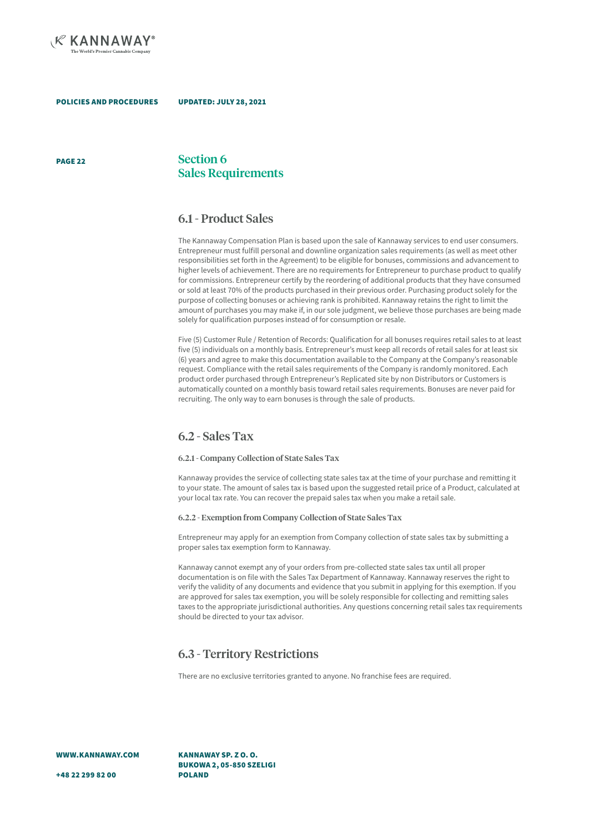

#### UPDATED: JULY 28, 2021

PAGE 22

### Section 6 Sales Requirements

### 6.1 - Product Sales

The Kannaway Compensation Plan is based upon the sale of Kannaway services to end user consumers. Entrepreneur must fulfill personal and downline organization sales requirements (as well as meet other responsibilities set forth in the Agreement) to be eligible for bonuses, commissions and advancement to higher levels of achievement. There are no requirements for Entrepreneur to purchase product to qualify for commissions. Entrepreneur certify by the reordering of additional products that they have consumed or sold at least 70% of the products purchased in their previous order. Purchasing product solely for the purpose of collecting bonuses or achieving rank is prohibited. Kannaway retains the right to limit the amount of purchases you may make if, in our sole judgment, we believe those purchases are being made solely for qualification purposes instead of for consumption or resale.

Five (5) Customer Rule / Retention of Records: Qualification for all bonuses requires retail sales to at least five (5) individuals on a monthly basis. Entrepreneur's must keep all records of retail sales for at least six (6) years and agree to make this documentation available to the Company at the Company's reasonable request. Compliance with the retail sales requirements of the Company is randomly monitored. Each product order purchased through Entrepreneur's Replicated site by non Distributors or Customers is automatically counted on a monthly basis toward retail sales requirements. Bonuses are never paid for recruiting. The only way to earn bonuses is through the sale of products.

### 6.2 - Sales Tax

#### 6.2.1 - Company Collection of State Sales Tax

Kannaway provides the service of collecting state sales tax at the time of your purchase and remitting it to your state. The amount of sales tax is based upon the suggested retail price of a Product, calculated at your local tax rate. You can recover the prepaid sales tax when you make a retail sale.

### 6.2.2 - Exemption from Company Collection of State Sales Tax

Entrepreneur may apply for an exemption from Company collection of state sales tax by submitting a proper sales tax exemption form to Kannaway.

Kannaway cannot exempt any of your orders from pre-collected state sales tax until all proper documentation is on file with the Sales Tax Department of Kannaway. Kannaway reserves the right to verify the validity of any documents and evidence that you submit in applying for this exemption. If you are approved for sales tax exemption, you will be solely responsible for collecting and remitting sales taxes to the appropriate jurisdictional authorities. Any questions concerning retail sales tax requirements should be directed to your tax advisor.

### 6.3 - Territory Restrictions

There are no exclusive territories granted to anyone. No franchise fees are required.

WWW.KANNAWAY.COM

KANNAWAY SP. Z O. O. BUKOWA 2, 05-850 SZELIGI POLAND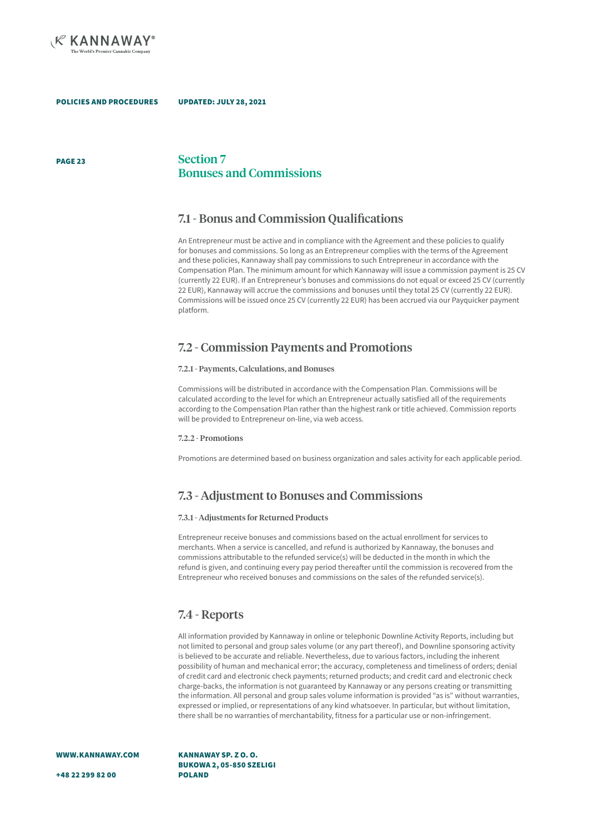

PAGE 23

Section 7 Bonuses and Commissions

## 7.1 - Bonus and Commission Qualifications

An Entrepreneur must be active and in compliance with the Agreement and these policies to qualify for bonuses and commissions. So long as an Entrepreneur complies with the terms of the Agreement and these policies, Kannaway shall pay commissions to such Entrepreneur in accordance with the Compensation Plan. The minimum amount for which Kannaway will issue a commission payment is 25 CV (currently 22 EUR). If an Entrepreneur's bonuses and commissions do not equal or exceed 25 CV (currently 22 EUR), Kannaway will accrue the commissions and bonuses until they total 25 CV (currently 22 EUR). Commissions will be issued once 25 CV (currently 22 EUR) has been accrued via our Payquicker payment platform.

## 7.2 - Commission Payments and Promotions

### 7.2.1 - Payments, Calculations, and Bonuses

Commissions will be distributed in accordance with the Compensation Plan. Commissions will be calculated according to the level for which an Entrepreneur actually satisfied all of the requirements according to the Compensation Plan rather than the highest rank or title achieved. Commission reports will be provided to Entrepreneur on-line, via web access.

### 7.2.2 - Promotions

Promotions are determined based on business organization and sales activity for each applicable period.

## 7.3 - Adjustment to Bonuses and Commissions

### 7.3.1 - Adjustments for Returned Products

Entrepreneur receive bonuses and commissions based on the actual enrollment for services to merchants. When a service is cancelled, and refund is authorized by Kannaway, the bonuses and commissions attributable to the refunded service(s) will be deducted in the month in which the refund is given, and continuing every pay period thereafter until the commission is recovered from the Entrepreneur who received bonuses and commissions on the sales of the refunded service(s).

## 7.4 - Reports

All information provided by Kannaway in online or telephonic Downline Activity Reports, including but not limited to personal and group sales volume (or any part thereof), and Downline sponsoring activity is believed to be accurate and reliable. Nevertheless, due to various factors, including the inherent possibility of human and mechanical error; the accuracy, completeness and timeliness of orders; denial of credit card and electronic check payments; returned products; and credit card and electronic check charge-backs, the information is not guaranteed by Kannaway or any persons creating or transmitting the information. All personal and group sales volume information is provided "as is" without warranties, expressed or implied, or representations of any kind whatsoever. In particular, but without limitation, there shall be no warranties of merchantability, fitness for a particular use or non-infringement.

WWW.KANNAWAY.COM

KANNAWAY SP. Z O. O. BUKOWA 2, 05-850 SZELIGI POLAND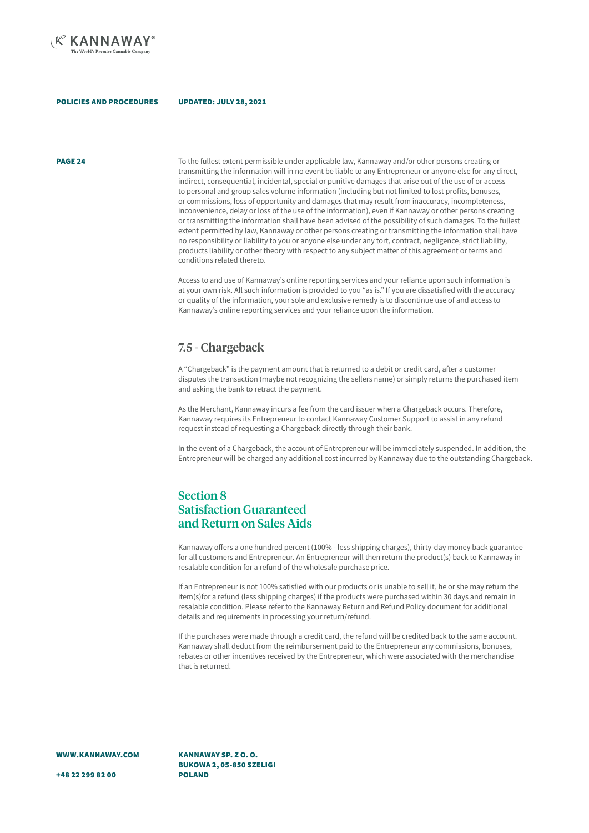

## UPDATED: JULY 28, 2021

**PAGE 24** To the fullest extent permissible under applicable law. Kannaway and/or other persons creating or transmitting the information will in no event be liable to any Entrepreneur or anyone else for any direct, indirect, consequential, incidental, special or punitive damages that arise out of the use of or access to personal and group sales volume information (including but not limited to lost profits, bonuses, or commissions, loss of opportunity and damages that may result from inaccuracy, incompleteness, inconvenience, delay or loss of the use of the information), even if Kannaway or other persons creating or transmitting the information shall have been advised of the possibility of such damages. To the fullest extent permitted by law, Kannaway or other persons creating or transmitting the information shall have no responsibility or liability to you or anyone else under any tort, contract, negligence, strict liability, products liability or other theory with respect to any subject matter of this agreement or terms and conditions related thereto.

> Access to and use of Kannaway's online reporting services and your reliance upon such information is at your own risk. All such information is provided to you "as is." If you are dissatisfied with the accuracy or quality of the information, your sole and exclusive remedy is to discontinue use of and access to Kannaway's online reporting services and your reliance upon the information.

## 7.5 - Chargeback

A "Chargeback" is the payment amount that is returned to a debit or credit card, after a customer disputes the transaction (maybe not recognizing the sellers name) or simply returns the purchased item and asking the bank to retract the payment.

As the Merchant, Kannaway incurs a fee from the card issuer when a Chargeback occurs. Therefore, Kannaway requires its Entrepreneur to contact Kannaway Customer Support to assist in any refund request instead of requesting a Chargeback directly through their bank.

In the event of a Chargeback, the account of Entrepreneur will be immediately suspended. In addition, the Entrepreneur will be charged any additional cost incurred by Kannaway due to the outstanding Chargeback.

## Section 8 Satisfaction Guaranteed and Return on Sales Aids

Kannaway offers a one hundred percent (100% - less shipping charges), thirty-day money back guarantee for all customers and Entrepreneur. An Entrepreneur will then return the product(s) back to Kannaway in resalable condition for a refund of the wholesale purchase price.

If an Entrepreneur is not 100% satisfied with our products or is unable to sell it, he or she may return the item(s)for a refund (less shipping charges) if the products were purchased within 30 days and remain in resalable condition. Please refer to the Kannaway Return and Refund Policy document for additional details and requirements in processing your return/refund.

If the purchases were made through a credit card, the refund will be credited back to the same account. Kannaway shall deduct from the reimbursement paid to the Entrepreneur any commissions, bonuses, rebates or other incentives received by the Entrepreneur, which were associated with the merchandise that is returned.

WWW.KANNAWAY.COM

+48 22 299 82 00

KANNAWAY SP. Z O. O. BUKOWA 2, 05-850 SZELIGI POLAND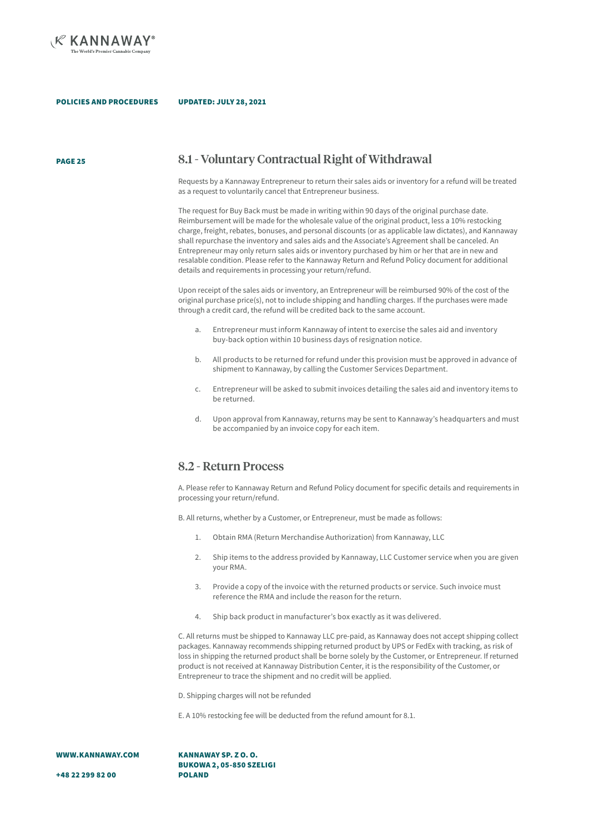

#### UPDATED: JULY 28, 2021

PAGE 25

### 8.1 - Voluntary Contractual Right of Withdrawal

Requests by a Kannaway Entrepreneur to return their sales aids or inventory for a refund will be treated as a request to voluntarily cancel that Entrepreneur business.

The request for Buy Back must be made in writing within 90 days of the original purchase date. Reimbursement will be made for the wholesale value of the original product, less a 10% restocking charge, freight, rebates, bonuses, and personal discounts (or as applicable law dictates), and Kannaway shall repurchase the inventory and sales aids and the Associate's Agreement shall be canceled. An Entrepreneur may only return sales aids or inventory purchased by him or her that are in new and resalable condition. Please refer to the Kannaway Return and Refund Policy document for additional details and requirements in processing your return/refund.

Upon receipt of the sales aids or inventory, an Entrepreneur will be reimbursed 90% of the cost of the original purchase price(s), not to include shipping and handling charges. If the purchases were made through a credit card, the refund will be credited back to the same account.

- a. Entrepreneur must inform Kannaway of intent to exercise the sales aid and inventory buy-back option within 10 business days of resignation notice.
- b. All products to be returned for refund under this provision must be approved in advance of shipment to Kannaway, by calling the Customer Services Department.
- c. Entrepreneur will be asked to submit invoices detailing the sales aid and inventory items to be returned.
- d. Upon approval from Kannaway, returns may be sent to Kannaway's headquarters and must be accompanied by an invoice copy for each item.

### 8.2 - Return Process

A. Please refer to Kannaway Return and Refund Policy document for specific details and requirements in processing your return/refund.

B. All returns, whether by a Customer, or Entrepreneur, must be made as follows:

- 1. Obtain RMA (Return Merchandise Authorization) from Kannaway, LLC
- 2. Ship items to the address provided by Kannaway, LLC Customer service when you are given your RMA.
- 3. Provide a copy of the invoice with the returned products or service. Such invoice must reference the RMA and include the reason for the return.
- 4. Ship back product in manufacturer's box exactly as it was delivered.

C. All returns must be shipped to Kannaway LLC pre-paid, as Kannaway does not accept shipping collect packages. Kannaway recommends shipping returned product by UPS or FedEx with tracking, as risk of loss in shipping the returned product shall be borne solely by the Customer, or Entrepreneur. If returned product is not received at Kannaway Distribution Center, it is the responsibility of the Customer, or Entrepreneur to trace the shipment and no credit will be applied.

D. Shipping charges will not be refunded

E. A 10% restocking fee will be deducted from the refund amount for 8.1.

WWW.KANNAWAY.COM

KANNAWAY SP. Z O. O. BUKOWA 2, 05-850 SZELIGI POLAND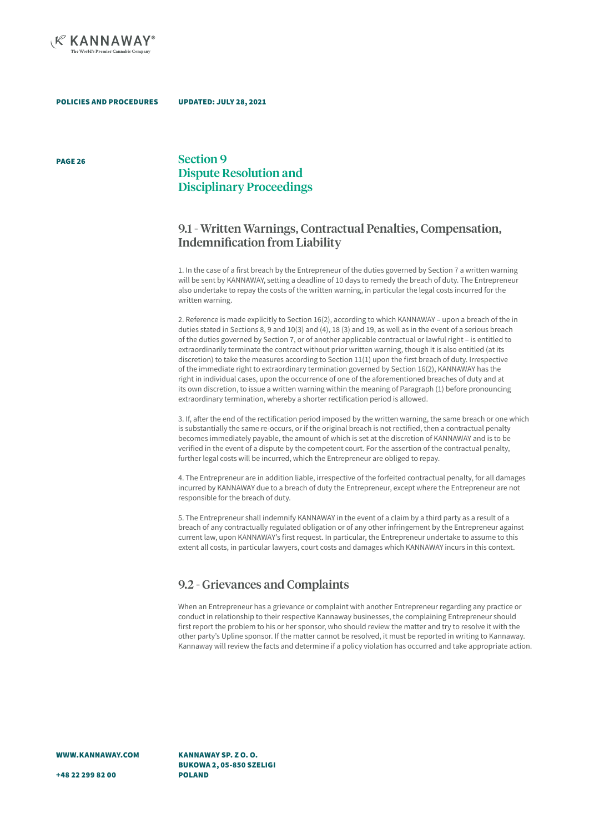

PAGE 26

## Section 9 Dispute Resolution and Disciplinary Proceedings

## 9.1 - Written Warnings, Contractual Penalties, Compensation, Indemnification from Liability

1. In the case of a first breach by the Entrepreneur of the duties governed by Section 7 a written warning will be sent by KANNAWAY, setting a deadline of 10 days to remedy the breach of duty. The Entrepreneur also undertake to repay the costs of the written warning, in particular the legal costs incurred for the written warning.

2. Reference is made explicitly to Section 16(2), according to which KANNAWAY – upon a breach of the in duties stated in Sections 8, 9 and 10(3) and (4), 18 (3) and 19, as well as in the event of a serious breach of the duties governed by Section 7, or of another applicable contractual or lawful right – is entitled to extraordinarily terminate the contract without prior written warning, though it is also entitled (at its discretion) to take the measures according to Section 11(1) upon the first breach of duty. Irrespective of the immediate right to extraordinary termination governed by Section 16(2), KANNAWAY has the right in individual cases, upon the occurrence of one of the aforementioned breaches of duty and at its own discretion, to issue a written warning within the meaning of Paragraph (1) before pronouncing extraordinary termination, whereby a shorter rectification period is allowed.

3. If, after the end of the rectification period imposed by the written warning, the same breach or one which is substantially the same re-occurs, or if the original breach is not rectified, then a contractual penalty becomes immediately payable, the amount of which is set at the discretion of KANNAWAY and is to be verified in the event of a dispute by the competent court. For the assertion of the contractual penalty, further legal costs will be incurred, which the Entrepreneur are obliged to repay.

4. The Entrepreneur are in addition liable, irrespective of the forfeited contractual penalty, for all damages incurred by KANNAWAY due to a breach of duty the Entrepreneur, except where the Entrepreneur are not responsible for the breach of duty.

5. The Entrepreneur shall indemnify KANNAWAY in the event of a claim by a third party as a result of a breach of any contractually regulated obligation or of any other infringement by the Entrepreneur against current law, upon KANNAWAY's first request. In particular, the Entrepreneur undertake to assume to this extent all costs, in particular lawyers, court costs and damages which KANNAWAY incurs in this context.

### 9.2 - Grievances and Complaints

When an Entrepreneur has a grievance or complaint with another Entrepreneur regarding any practice or conduct in relationship to their respective Kannaway businesses, the complaining Entrepreneur should first report the problem to his or her sponsor, who should review the matter and try to resolve it with the other party's Upline sponsor. If the matter cannot be resolved, it must be reported in writing to Kannaway. Kannaway will review the facts and determine if a policy violation has occurred and take appropriate action.

KANNAWAY SP. Z O. O. BUKOWA 2, 05-850 SZELIGI POLAND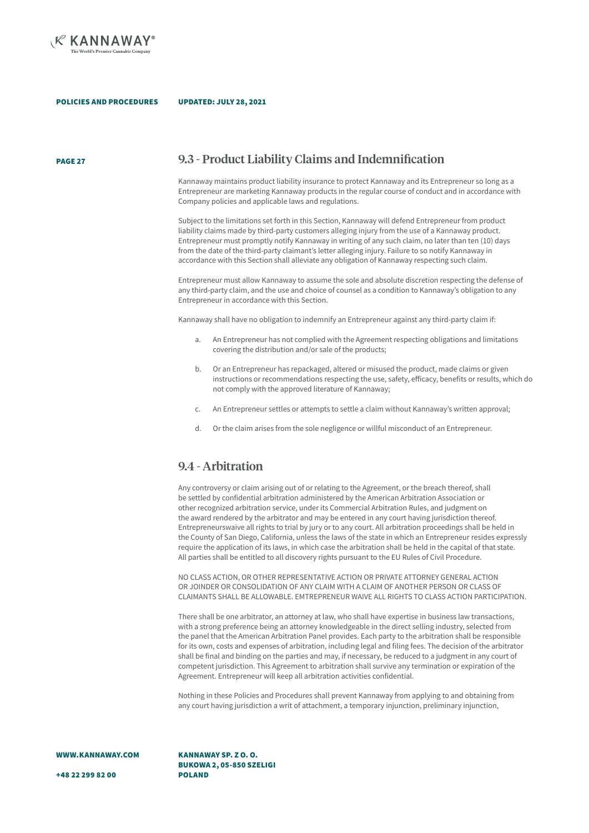

PAGE 27

### 9.3 - Product Liability Claims and Indemnification

Kannaway maintains product liability insurance to protect Kannaway and its Entrepreneur so long as a Entrepreneur are marketing Kannaway products in the regular course of conduct and in accordance with Company policies and applicable laws and regulations.

Subject to the limitations set forth in this Section, Kannaway will defend Entrepreneur from product liability claims made by third-party customers alleging injury from the use of a Kannaway product. Entrepreneur must promptly notify Kannaway in writing of any such claim, no later than ten (10) days from the date of the third-party claimant's letter alleging injury. Failure to so notify Kannaway in accordance with this Section shall alleviate any obligation of Kannaway respecting such claim.

Entrepreneur must allow Kannaway to assume the sole and absolute discretion respecting the defense of any third-party claim, and the use and choice of counsel as a condition to Kannaway's obligation to any Entrepreneur in accordance with this Section.

Kannaway shall have no obligation to indemnify an Entrepreneur against any third-party claim if:

- a. An Entrepreneur has not complied with the Agreement respecting obligations and limitations covering the distribution and/or sale of the products;
- b. Or an Entrepreneur has repackaged, altered or misused the product, made claims or given instructions or recommendations respecting the use, safety, efficacy, benefits or results, which do not comply with the approved literature of Kannaway;
- c. An Entrepreneur settles or attempts to settle a claim without Kannaway's written approval;
- d. Or the claim arises from the sole negligence or willful misconduct of an Entrepreneur.

## 9.4 - Arbitration

Any controversy or claim arising out of or relating to the Agreement, or the breach thereof, shall be settled by confidential arbitration administered by the American Arbitration Association or other recognized arbitration service, under its Commercial Arbitration Rules, and judgment on the award rendered by the arbitrator and may be entered in any court having jurisdiction thereof. Entrepreneurswaive all rights to trial by jury or to any court. All arbitration proceedings shall be held in the County of San Diego, California, unless the laws of the state in which an Entrepreneur resides expressly require the application of its laws, in which case the arbitration shall be held in the capital of that state. All parties shall be entitled to all discovery rights pursuant to the EU Rules of Civil Procedure.

NO CLASS ACTION, OR OTHER REPRESENTATIVE ACTION OR PRIVATE ATTORNEY GENERAL ACTION OR JOINDER OR CONSOLIDATION OF ANY CLAIM WITH A CLAIM OF ANOTHER PERSON OR CLASS OF CLAIMANTS SHALL BE ALLOWABLE. EMTREPRENEUR WAIVE ALL RIGHTS TO CLASS ACTION PARTICIPATION.

There shall be one arbitrator, an attorney at law, who shall have expertise in business law transactions, with a strong preference being an attorney knowledgeable in the direct selling industry, selected from the panel that the American Arbitration Panel provides. Each party to the arbitration shall be responsible for its own, costs and expenses of arbitration, including legal and filing fees. The decision of the arbitrator shall be final and binding on the parties and may, if necessary, be reduced to a judgment in any court of competent jurisdiction. This Agreement to arbitration shall survive any termination or expiration of the Agreement. Entrepreneur will keep all arbitration activities confidential.

Nothing in these Policies and Procedures shall prevent Kannaway from applying to and obtaining from any court having jurisdiction a writ of attachment, a temporary injunction, preliminary injunction,

WWW.KANNAWAY.COM

KANNAWAY SP. Z O. O. BUKOWA 2, 05-850 SZELIGI POLAND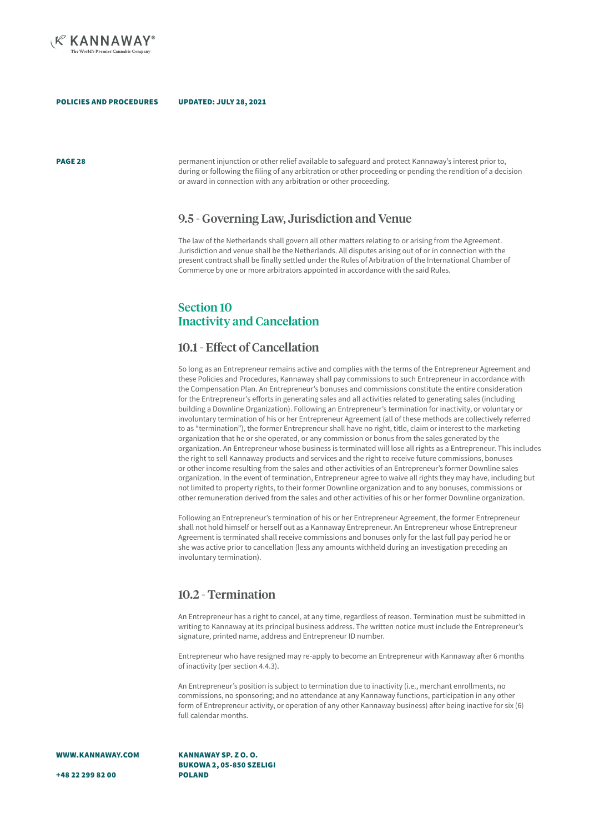

**PAGE 28 permanent injunction or other relief available to safeguard and protect Kannaway's interest prior to, and protect Kannaway's interest prior to,** during or following the filing of any arbitration or other proceeding or pending the rendition of a decision or award in connection with any arbitration or other proceeding.

### 9.5 - Governing Law, Jurisdiction and Venue

The law of the Netherlands shall govern all other matters relating to or arising from the Agreement. Jurisdiction and venue shall be the Netherlands. All disputes arising out of or in connection with the present contract shall be finally settled under the Rules of Arbitration of the International Chamber of Commerce by one or more arbitrators appointed in accordance with the said Rules.

## Section 10 Inactivity and Cancelation

### 10.1 - Effect of Cancellation

So long as an Entrepreneur remains active and complies with the terms of the Entrepreneur Agreement and these Policies and Procedures, Kannaway shall pay commissions to such Entrepreneur in accordance with the Compensation Plan. An Entrepreneur's bonuses and commissions constitute the entire consideration for the Entrepreneur's efforts in generating sales and all activities related to generating sales (including building a Downline Organization). Following an Entrepreneur's termination for inactivity, or voluntary or involuntary termination of his or her Entrepreneur Agreement (all of these methods are collectively referred to as "termination"), the former Entrepreneur shall have no right, title, claim or interest to the marketing organization that he or she operated, or any commission or bonus from the sales generated by the organization. An Entrepreneur whose business is terminated will lose all rights as a Entrepreneur. This includes the right to sell Kannaway products and services and the right to receive future commissions, bonuses or other income resulting from the sales and other activities of an Entrepreneur's former Downline sales organization. In the event of termination, Entrepreneur agree to waive all rights they may have, including but not limited to property rights, to their former Downline organization and to any bonuses, commissions or other remuneration derived from the sales and other activities of his or her former Downline organization.

Following an Entrepreneur's termination of his or her Entrepreneur Agreement, the former Entrepreneur shall not hold himself or herself out as a Kannaway Entrepreneur. An Entrepreneur whose Entrepreneur Agreement is terminated shall receive commissions and bonuses only for the last full pay period he or she was active prior to cancellation (less any amounts withheld during an investigation preceding an involuntary termination).

### 10.2 - Termination

An Entrepreneur has a right to cancel, at any time, regardless of reason. Termination must be submitted in writing to Kannaway at its principal business address. The written notice must include the Entrepreneur's signature, printed name, address and Entrepreneur ID number.

Entrepreneur who have resigned may re-apply to become an Entrepreneur with Kannaway after 6 months of inactivity (per section 4.4.3).

An Entrepreneur's position is subject to termination due to inactivity (i.e., merchant enrollments, no commissions, no sponsoring; and no attendance at any Kannaway functions, participation in any other form of Entrepreneur activity, or operation of any other Kannaway business) after being inactive for six (6) full calendar months.

WWW.KANNAWAY.COM

KANNAWAY SP. Z O. O. BUKOWA 2, 05-850 SZELIGI POLAND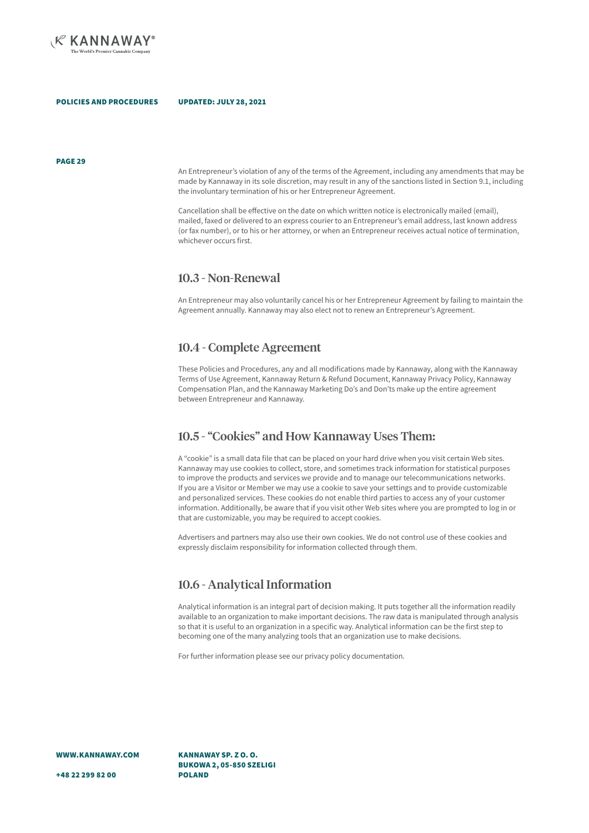

PAGE 29

An Entrepreneur's violation of any of the terms of the Agreement, including any amendments that may be made by Kannaway in its sole discretion, may result in any of the sanctions listed in Section 9.1, including the involuntary termination of his or her Entrepreneur Agreement.

Cancellation shall be effective on the date on which written notice is electronically mailed (email), mailed, faxed or delivered to an express courier to an Entrepreneur's email address, last known address (or fax number), or to his or her attorney, or when an Entrepreneur receives actual notice of termination, whichever occurs first.

### 10.3 - Non-Renewal

An Entrepreneur may also voluntarily cancel his or her Entrepreneur Agreement by failing to maintain the Agreement annually. Kannaway may also elect not to renew an Entrepreneur's Agreement.

### 10.4 - Complete Agreement

These Policies and Procedures, any and all modifications made by Kannaway, along with the Kannaway Terms of Use Agreement, Kannaway Return & Refund Document, Kannaway Privacy Policy, Kannaway Compensation Plan, and the Kannaway Marketing Do's and Don'ts make up the entire agreement between Entrepreneur and Kannaway.

### 10.5 - "Cookies" and How Kannaway Uses Them:

A "cookie" is a small data file that can be placed on your hard drive when you visit certain Web sites. Kannaway may use cookies to collect, store, and sometimes track information for statistical purposes to improve the products and services we provide and to manage our telecommunications networks. If you are a Visitor or Member we may use a cookie to save your settings and to provide customizable and personalized services. These cookies do not enable third parties to access any of your customer information. Additionally, be aware that if you visit other Web sites where you are prompted to log in or that are customizable, you may be required to accept cookies.

Advertisers and partners may also use their own cookies. We do not control use of these cookies and expressly disclaim responsibility for information collected through them.

### 10.6 - Analytical Information

Analytical information is an integral part of decision making. It puts together all the information readily available to an organization to make important decisions. The raw data is manipulated through analysis so that it is useful to an organization in a specific way. Analytical information can be the first step to becoming one of the many analyzing tools that an organization use to make decisions.

For further information please see our privacy policy documentation.

WWW.KANNAWAY.COM

KANNAWAY SP. Z O. O. BUKOWA 2, 05-850 SZELIGI POLAND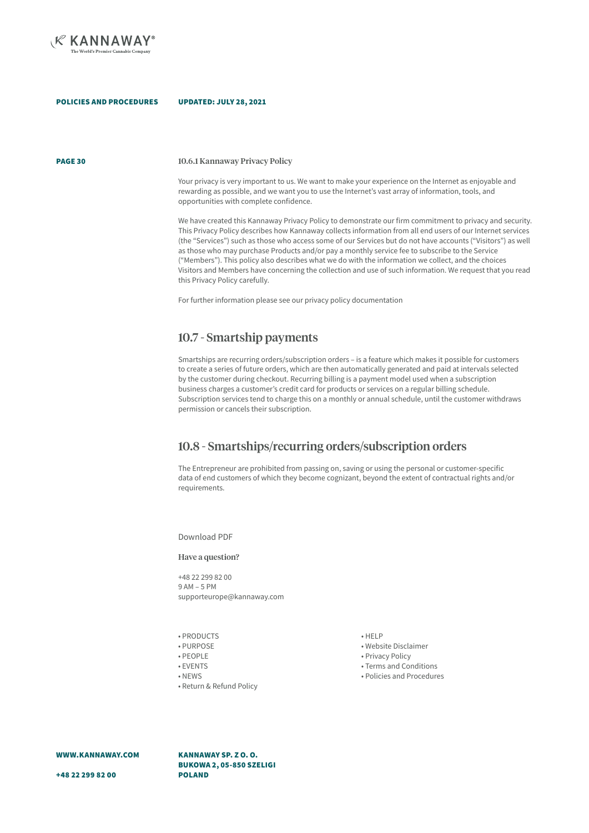

PAGE 30

#### 10.6.1 Kannaway Privacy Policy

Your privacy is very important to us. We want to make your experience on the Internet as enjoyable and rewarding as possible, and we want you to use the Internet's vast array of information, tools, and opportunities with complete confidence.

We have created this Kannaway Privacy Policy to demonstrate our firm commitment to privacy and security. This Privacy Policy describes how Kannaway collects information from all end users of our Internet services (the "Services") such as those who access some of our Services but do not have accounts ("Visitors") as well as those who may purchase Products and/or pay a monthly service fee to subscribe to the Service ("Members"). This policy also describes what we do with the information we collect, and the choices Visitors and Members have concerning the collection and use of such information. We request that you read this Privacy Policy carefully.

For further information please see our privacy policy documentation

### 10.7 - Smartship payments

Smartships are recurring orders/subscription orders – is a feature which makes it possible for customers to create a series of future orders, which are then automatically generated and paid at intervals selected by the customer during checkout. Recurring billing is a payment model used when a subscription business charges a customer's credit card for products or services on a regular billing schedule. Subscription services tend to charge this on a monthly or annual schedule, until the customer withdraws permission or cancels their subscription.

## 10.8 - Smartships/recurring orders/subscription orders

The Entrepreneur are prohibited from passing on, saving or using the personal or customer-specific data of end customers of which they become cognizant, beyond the extent of contractual rights and/or requirements.

Download PDF

Have a question?

+48 22 299 82 00 9 AM – 5 PM supporteurope@kannaway.com

- PRODUCTS
- PURPOSE
- PEOPLE
- EVENTS
- NEWS
- Return & Refund Policy

• HELP

- Website Disclaimer
- Privacy Policy
- Terms and Conditions
- Policies and Procedures

WWW.KANNAWAY.COM

KANNAWAY SP. Z O. O. BUKOWA 2, 05-850 SZELIGI POLAND